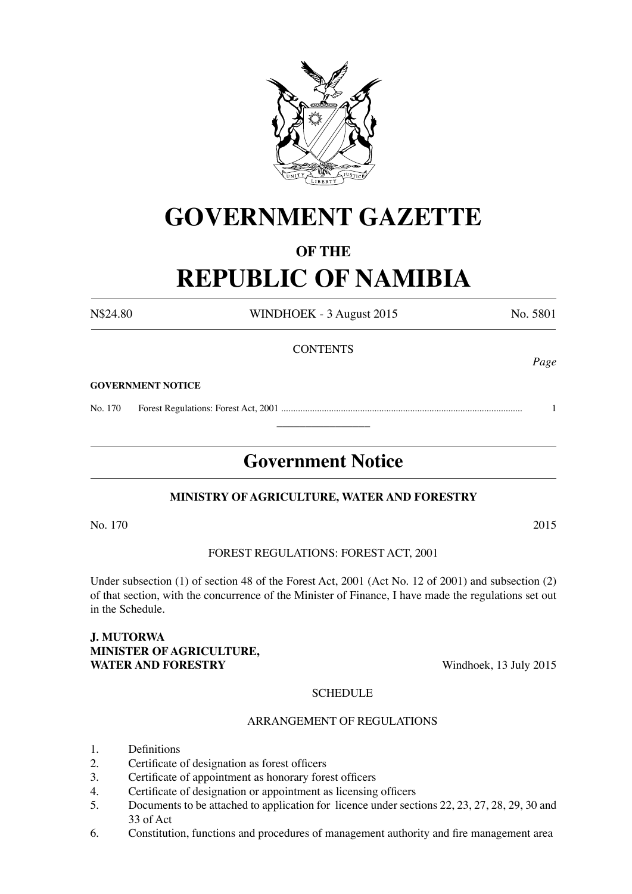

# **GOVERNMENT GAZETTE**

# **OF THE**

# **REPUBLIC OF NAMIBIA**

N\$24.80 WINDHOEK - 3 August 2015 No. 5801

*Page*

### **CONTENTS**

### **GOVERNMENT NOTICE**

No. 170 Forest Regulations: Forest Act, 2001 ..................................................................................................... 1

# **Government Notice**

 $\overline{\phantom{a}}$  , where  $\overline{\phantom{a}}$ 

### **MINISTRY OF AGRICULTURE, WATER AND FORESTRY**

No. 170 2015

### FOREST REGULATIONS: FOREST ACT, 2001

Under subsection (1) of section 48 of the Forest Act, 2001 (Act No. 12 of 2001) and subsection (2) of that section, with the concurrence of the Minister of Finance, I have made the regulations set out in the Schedule.

### **J. MUTORWA MINISTER OF AGRICULTURE, WATER AND FORESTRY** Windhoek, 13 July 2015

### **SCHEDULE**

### ARRANGEMENT OF REGULATIONS

- 1. Definitions
- 2. Certificate of designation as forest officers
- 3. Certificate of appointment as honorary forest officers
- 4. Certificate of designation or appointment as licensing officers
- 5. Documents to be attached to application for licence under sections 22, 23, 27, 28, 29, 30 and 33 of Act
- 6. Constitution, functions and procedures of management authority and fire management area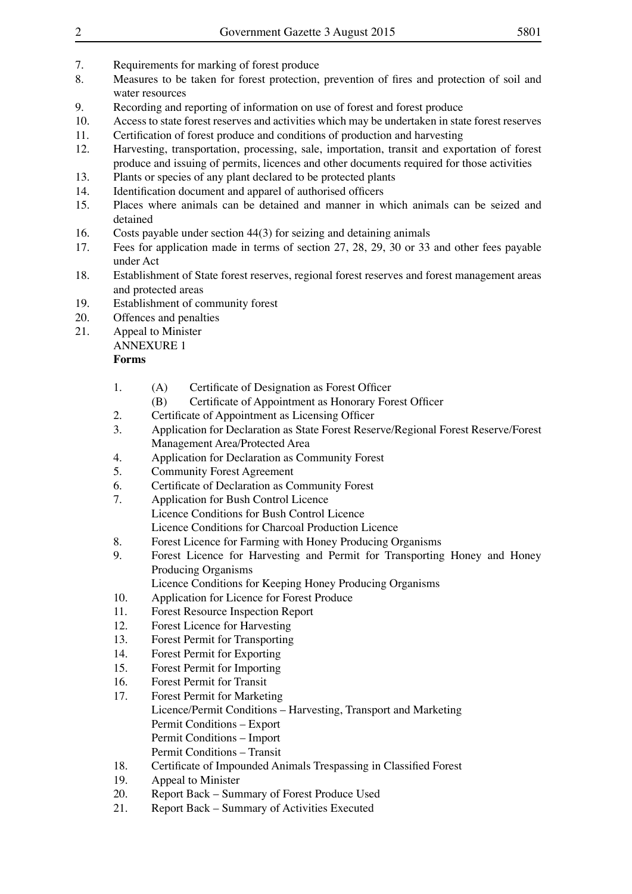- 7. Requirements for marking of forest produce
- 8. Measures to be taken for forest protection, prevention of fires and protection of soil and water resources
- 9. Recording and reporting of information on use of forest and forest produce
- 10. Access to state forest reserves and activities which may be undertaken in state forest reserves
- 11. Certification of forest produce and conditions of production and harvesting
- 12. Harvesting, transportation, processing, sale, importation, transit and exportation of forest produce and issuing of permits, licences and other documents required for those activities
- 13. Plants or species of any plant declared to be protected plants
- 14. Identification document and apparel of authorised officers
- 15. Places where animals can be detained and manner in which animals can be seized and detained
- 16. Costs payable under section 44(3) for seizing and detaining animals
- 17. Fees for application made in terms of section 27, 28, 29, 30 or 33 and other fees payable under Act
- 18. Establishment of State forest reserves, regional forest reserves and forest management areas and protected areas
- 19. Establishment of community forest
- 20. Offences and penalties<br>21. Appeal to Minister
- Appeal to Minister
	- ANNEXURE 1

### **Forms**

- 1. (A) Certificate of Designation as Forest Officer<br>(B) Certificate of Appointment as Honorary For
	- Certificate of Appointment as Honorary Forest Officer
- 2. Certificate of Appointment as Licensing Officer<br>3. Application for Declaration as State Forest Reser
- Application for Declaration as State Forest Reserve/Regional Forest Reserve/Forest Management Area/Protected Area
- 4. Application for Declaration as Community Forest<br>5. Community Forest Agreement
- 5. Community Forest Agreement
- 6. Certificate of Declaration as Community Forest<br>7. Application for Bush Control Licence
- Application for Bush Control Licence Licence Conditions for Bush Control Licence Licence Conditions for Charcoal Production Licence
- 8. Forest Licence for Farming with Honey Producing Organisms
- 9. Forest Licence for Harvesting and Permit for Transporting Honey and Honey Producing Organisms
	- Licence Conditions for Keeping Honey Producing Organisms
- 10. Application for Licence for Forest Produce
- 11. Forest Resource Inspection Report
- 12. Forest Licence for Harvesting
- 13. Forest Permit for Transporting
- 14. Forest Permit for Exporting
- 15. Forest Permit for Importing
- 16. Forest Permit for Transit
- 17. Forest Permit for Marketing Licence/Permit Conditions – Harvesting, Transport and Marketing Permit Conditions – Export Permit Conditions – Import Permit Conditions – Transit
- 18. Certificate of Impounded Animals Trespassing in Classified Forest
- 19. Appeal to Minister
- 20. Report Back Summary of Forest Produce Used
- 21. Report Back Summary of Activities Executed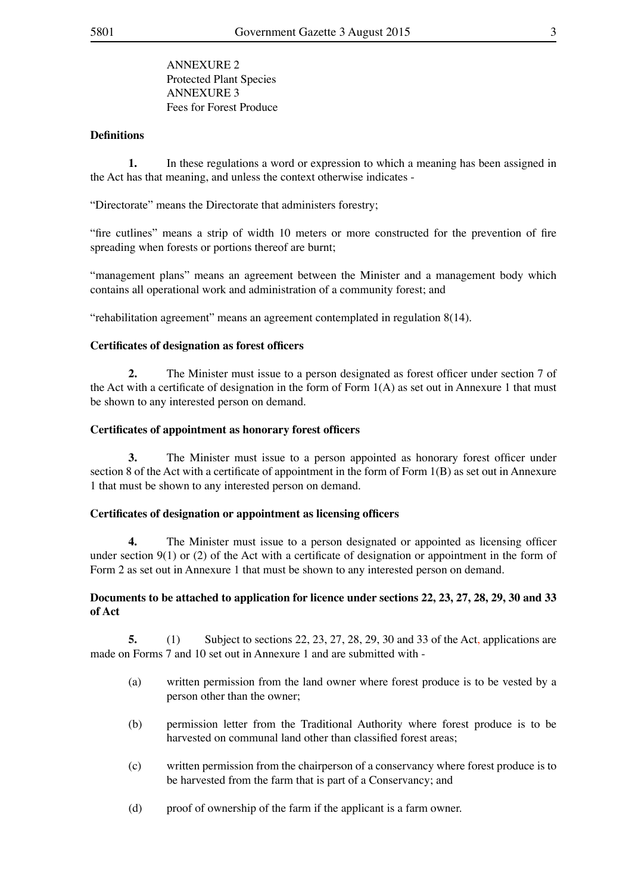ANNEXURE 2 Protected Plant Species ANNEXURE 3 Fees for Forest Produce

### **Definitions**

**1.** In these regulations a word or expression to which a meaning has been assigned in the Act has that meaning, and unless the context otherwise indicates -

"Directorate" means the Directorate that administers forestry;

"fire cutlines" means a strip of width 10 meters or more constructed for the prevention of fire spreading when forests or portions thereof are burnt;

"management plans" means an agreement between the Minister and a management body which contains all operational work and administration of a community forest; and

"rehabilitation agreement" means an agreement contemplated in regulation 8(14).

### **Certificates of designation as forest officers**

**2.** The Minister must issue to a person designated as forest officer under section 7 of the Act with a certificate of designation in the form of Form  $1(A)$  as set out in Annexure 1 that must be shown to any interested person on demand.

### **Certificates of appointment as honorary forest officers**

**3.** The Minister must issue to a person appointed as honorary forest officer under section 8 of the Act with a certificate of appointment in the form of Form 1(B) as set out in Annexure 1 that must be shown to any interested person on demand.

### **Certificates of designation or appointment as licensing officers**

**4.** The Minister must issue to a person designated or appointed as licensing officer under section 9(1) or (2) of the Act with a certificate of designation or appointment in the form of Form 2 as set out in Annexure 1 that must be shown to any interested person on demand.

### **Documents to be attached to application for licence under sections 22, 23, 27, 28, 29, 30 and 33 of Act**

**5.** (1) Subject to sections 22, 23, 27, 28, 29, 30 and 33 of the Act, applications are made on Forms 7 and 10 set out in Annexure 1 and are submitted with -

- (a) written permission from the land owner where forest produce is to be vested by a person other than the owner;
- (b) permission letter from the Traditional Authority where forest produce is to be harvested on communal land other than classified forest areas;
- (c) written permission from the chairperson of a conservancy where forest produce is to be harvested from the farm that is part of a Conservancy; and
- (d) proof of ownership of the farm if the applicant is a farm owner.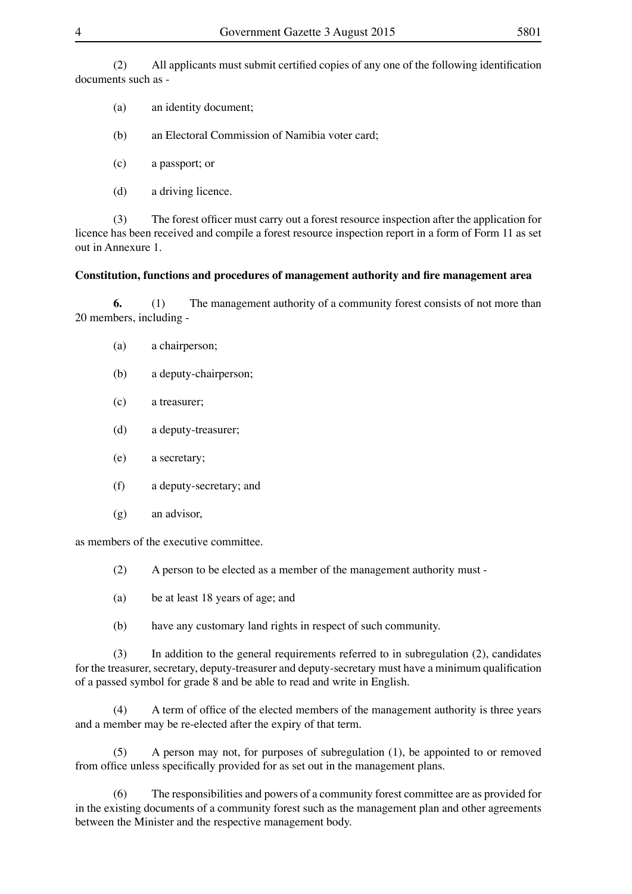(2) All applicants must submit certified copies of any one of the following identification documents such as -

(a) an identity document;

(b) an Electoral Commission of Namibia voter card;

(c) a passport; or

(d) a driving licence.

(3) The forest officer must carry out a forest resource inspection after the application for licence has been received and compile a forest resource inspection report in a form of Form 11 as set out in Annexure 1.

### **Constitution, functions and procedures of management authority and fire management area**

**6.** (1) The management authority of a community forest consists of not more than 20 members, including -

- (a) a chairperson;
- (b) a deputy-chairperson;
- (c) a treasurer;
- (d) a deputy-treasurer;
- (e) a secretary;
- (f) a deputy-secretary; and
- (g) an advisor,

as members of the executive committee.

- (2) A person to be elected as a member of the management authority must -
- (a) be at least 18 years of age; and
- (b) have any customary land rights in respect of such community.

(3) In addition to the general requirements referred to in subregulation (2), candidates for the treasurer, secretary, deputy-treasurer and deputy-secretary must have a minimum qualification of a passed symbol for grade 8 and be able to read and write in English.

(4) A term of office of the elected members of the management authority is three years and a member may be re-elected after the expiry of that term.

(5) A person may not, for purposes of subregulation (1), be appointed to or removed from office unless specifically provided for as set out in the management plans.

(6) The responsibilities and powers of a community forest committee are as provided for in the existing documents of a community forest such as the management plan and other agreements between the Minister and the respective management body.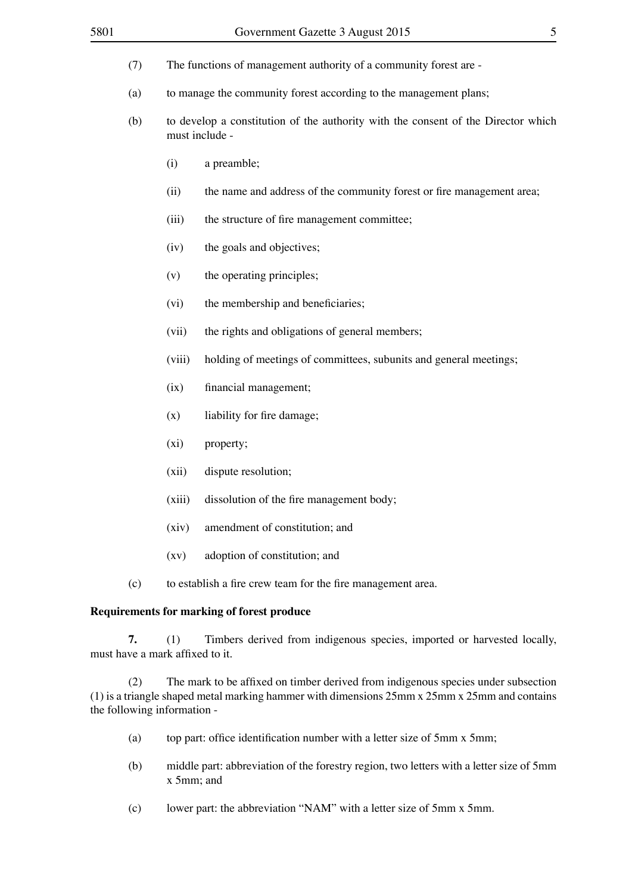- (7) The functions of management authority of a community forest are -
- (a) to manage the community forest according to the management plans;
- (b) to develop a constitution of the authority with the consent of the Director which must include -
	- (i) a preamble;
	- (ii) the name and address of the community forest or fire management area;
	- (iii) the structure of fire management committee;
	- (iv) the goals and objectives;
	- (v) the operating principles;
	- (vi) the membership and beneficiaries;
	- (vii) the rights and obligations of general members;
	- (viii) holding of meetings of committees, subunits and general meetings;
	- (ix) financial management;
	- $(x)$  liability for fire damage;
	- (xi) property;
	- (xii) dispute resolution;
	- (xiii) dissolution of the fire management body;
	- (xiv) amendment of constitution; and
	- (xv) adoption of constitution; and
- (c) to establish a fire crew team for the fire management area.

### **Requirements for marking of forest produce**

**7.** (1) Timbers derived from indigenous species, imported or harvested locally, must have a mark affixed to it.

(2) The mark to be affixed on timber derived from indigenous species under subsection (1) is a triangle shaped metal marking hammer with dimensions 25mm x 25mm x 25mm and contains the following information -

- (a) top part: office identification number with a letter size of 5mm x 5mm;
- (b) middle part: abbreviation of the forestry region, two letters with a letter size of 5mm x 5mm; and
- (c) lower part: the abbreviation "NAM" with a letter size of 5mm x 5mm.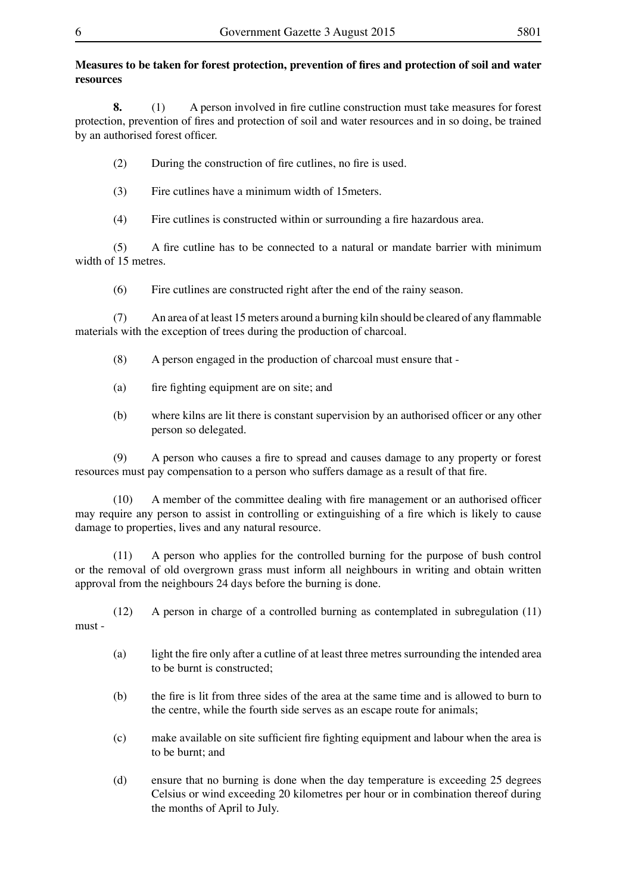### **Measures to be taken for forest protection, prevention of fires and protection of soil and water resources**

8. (1) A person involved in fire cutline construction must take measures for forest protection, prevention of fires and protection of soil and water resources and in so doing, be trained by an authorised forest officer.

(2) During the construction of fire cutlines, no fire is used.

(3) Fire cutlines have a minimum width of 15meters.

(4) Fire cutlines is constructed within or surrounding a fire hazardous area.

(5) A fire cutline has to be connected to a natural or mandate barrier with minimum width of 15 metres.

(6) Fire cutlines are constructed right after the end of the rainy season.

(7) An area of at least 15 meters around a burning kiln should be cleared of any flammable materials with the exception of trees during the production of charcoal.

 $(8)$  A person engaged in the production of charcoal must ensure that -

- (a) fire fighting equipment are on site; and
- (b) where kilns are lit there is constant supervision by an authorised officer or any other person so delegated.

(9) A person who causes a fire to spread and causes damage to any property or forest resources must pay compensation to a person who suffers damage as a result of that fire.

(10) A member of the committee dealing with fire management or an authorised officer may require any person to assist in controlling or extinguishing of a fire which is likely to cause damage to properties, lives and any natural resource.

(11) A person who applies for the controlled burning for the purpose of bush control or the removal of old overgrown grass must inform all neighbours in writing and obtain written approval from the neighbours 24 days before the burning is done.

 $(12)$  A person in charge of a controlled burning as contemplated in subregulation  $(11)$ must -

- (a) light the fire only after a cutline of at least three metres surrounding the intended area to be burnt is constructed;
- (b) the fire is lit from three sides of the area at the same time and is allowed to burn to the centre, while the fourth side serves as an escape route for animals;
- (c) make available on site sufficient fire fighting equipment and labour when the area is to be burnt; and
- (d) ensure that no burning is done when the day temperature is exceeding 25 degrees Celsius or wind exceeding 20 kilometres per hour or in combination thereof during the months of April to July.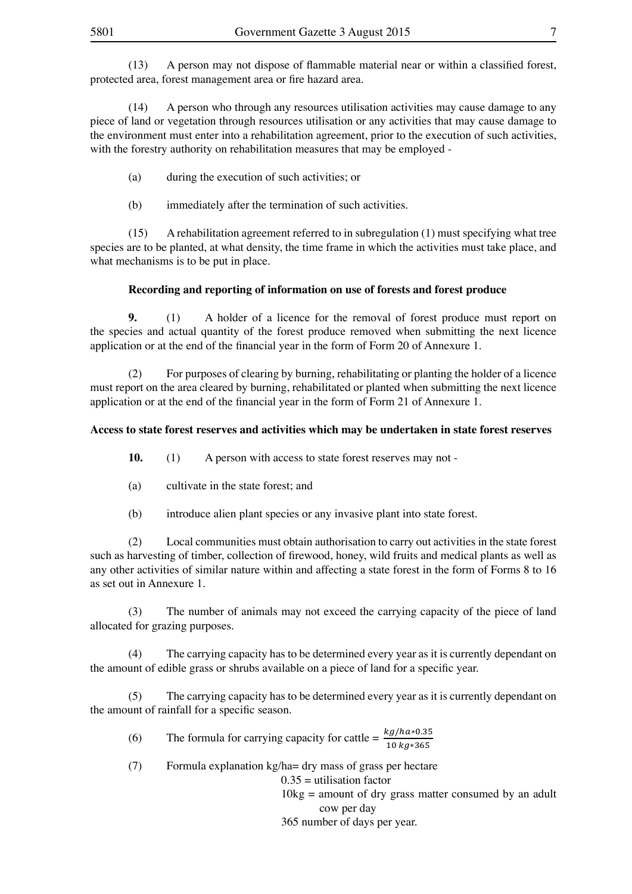(13) A person may not dispose of flammable material near or within a classified forest, protected area, forest management area or fire hazard area.

(14) A person who through any resources utilisation activities may cause damage to any piece of land or vegetation through resources utilisation or any activities that may cause damage to the environment must enter into a rehabilitation agreement, prior to the execution of such activities, with the forestry authority on rehabilitation measures that may be employed - (2) For purposes of clearing by burning, rehabilitating or planting the holder

- (a) during the execution of such activities; or
- (b) immediately after the termination of such activities.

 $(15)$  A rehabilitation agreement referred to in subregulation  $(1)$  must specifying what tree species are to be planted, at what density, the time frame in which the activities must take place, and what mechanisms is to be put in place. **10.** (1) A person with access to state forest reserves may not -

### **Recording and reporting of information on use of forests and forest produce**

**9.** (1) A holder of a licence for the removal of forest produce must report on the species and actual quantity of the forest produce removed when submitting the next licence application or at the end of the financial year in the form of Form 20 of Annexure 1.

(2) For purposes of clearing by burning, rehabilitating or planting the holder of a licence must report on the area cleared by burning, rehabilitated or planted when submitting the next licence application or at the end of the financial year in the form of Form 21 of Annexure 1.

## Access to state forest reserves and activities which may be undertaken in state forest reserves

**10.** (1) A person with access to state forest reserves may not medical plants as well as well as any other activities of similar nature with a state within and affecting a state  $\mathcal{L}$ 

- (a) cultivate in the state forest; and
- (b) introduce alien plant species or any invasive plant into state forest.

(2) Local communities must obtain authorisation to carry out activities in the state forest such as harvesting of timber, collection of firewood, honey, wild fruits and medical plants as well as any other activities of similar nature within and affecting a state forest in the form of Forms 8 to 16 as set out in Annexure 1.

(3) The number of animals may not exceed the carrying capacity of the piece of land allocated for grazing purposes. dependent on the amount of ediple grass or shown of  $\alpha$  piece on a piece of land for a piece of land for a piece of land for a piece of land for a piece of land for a piece of land for a piece of land for a piece of land

(4) The carrying capacity has to be determined every year as it is currently dependant on the amount of edible grass or shrubs available on a piece of land for a specific year.

(5) The carrying capacity has to be determined every year as it is currently dependant on the amount of rainfall for a specific season.

(6) The formula for carrying capacity for cattle =  $\frac{kg/ha*0.35}{10 kg*365}$ 

(7) Formula explanation kg/ha= dry mass of grass per hectare

 $0.35$  = utilisation factor

 $10kg =$  amount of dry grass matter consumed by an adult

cow per day

365 number of days per year.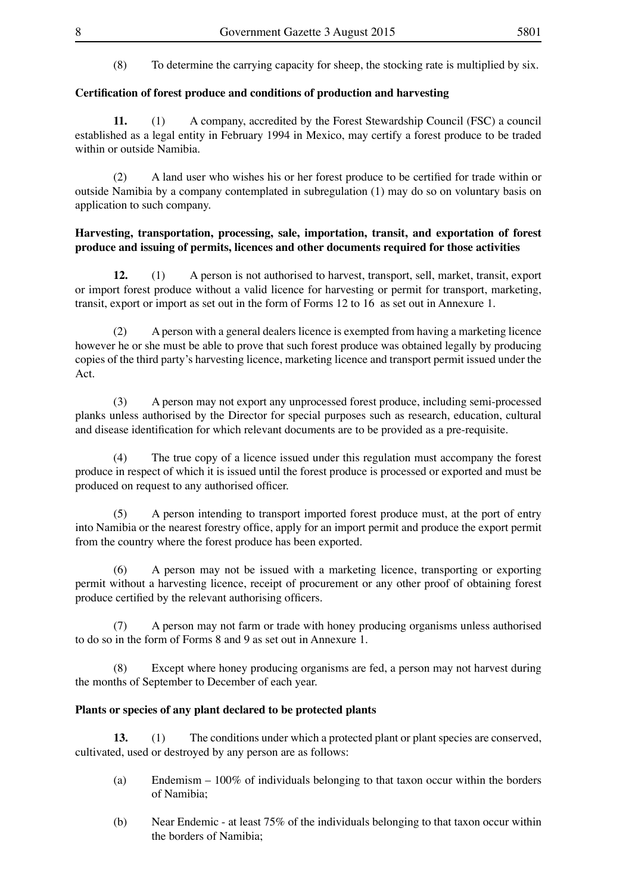(8) To determine the carrying capacity for sheep, the stocking rate is multiplied by six.

### **Certification of forest produce and conditions of production and harvesting**

**11.** (1) A company, accredited by the Forest Stewardship Council (FSC) a council established as a legal entity in February 1994 in Mexico, may certify a forest produce to be traded within or outside Namibia.

(2) A land user who wishes his or her forest produce to be certified for trade within or outside Namibia by a company contemplated in subregulation (1) may do so on voluntary basis on application to such company.

### **Harvesting, transportation, processing, sale, importation, transit, and exportation of forest produce and issuing of permits, licences and other documents required for those activities**

**12.** (1) A person is not authorised to harvest, transport, sell, market, transit, export or import forest produce without a valid licence for harvesting or permit for transport, marketing, transit, export or import as set out in the form of Forms 12 to 16 as set out in Annexure 1.

(2) A person with a general dealers licence is exempted from having a marketing licence however he or she must be able to prove that such forest produce was obtained legally by producing copies of the third party's harvesting licence, marketing licence and transport permit issued under the Act.

(3) A person may not export any unprocessed forest produce, including semi-processed planks unless authorised by the Director for special purposes such as research, education, cultural and disease identification for which relevant documents are to be provided as a pre-requisite.

(4) The true copy of a licence issued under this regulation must accompany the forest produce in respect of which it is issued until the forest produce is processed or exported and must be produced on request to any authorised officer.

(5) A person intending to transport imported forest produce must, at the port of entry into Namibia or the nearest forestry office, apply for an import permit and produce the export permit from the country where the forest produce has been exported.

(6) A person may not be issued with a marketing licence, transporting or exporting permit without a harvesting licence, receipt of procurement or any other proof of obtaining forest produce certified by the relevant authorising officers.

(7) A person may not farm or trade with honey producing organisms unless authorised to do so in the form of Forms 8 and 9 as set out in Annexure 1.

(8) Except where honey producing organisms are fed, a person may not harvest during the months of September to December of each year.

### **Plants or species of any plant declared to be protected plants**

**13.** (1) The conditions under which a protected plant or plant species are conserved, cultivated, used or destroyed by any person are as follows:

- (a) Endemism  $-100\%$  of individuals belonging to that taxon occur within the borders of Namibia;
- (b) Near Endemic at least  $75\%$  of the individuals belonging to that taxon occur within the borders of Namibia;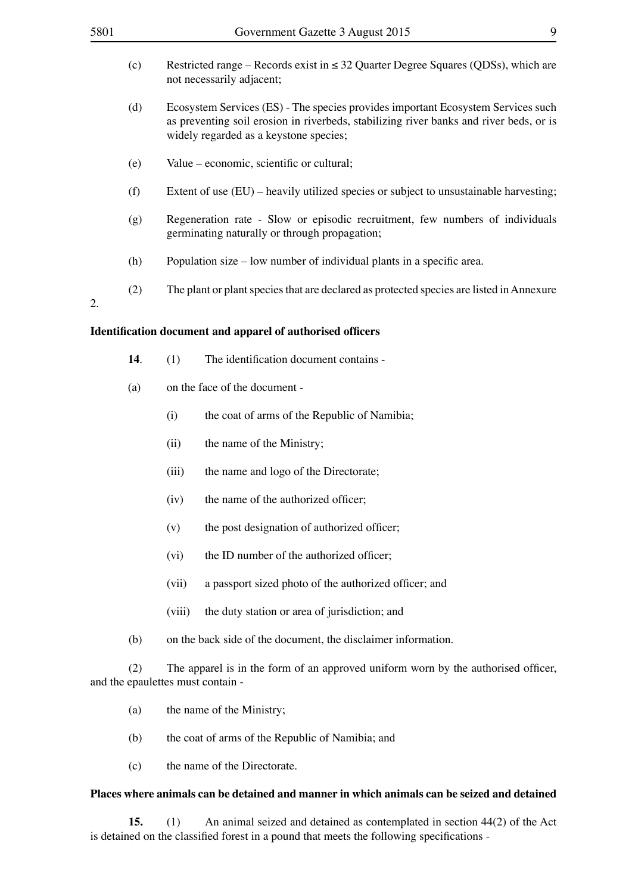|    | (c) | Restricted range – Records exist in $\leq$ 32 Quarter Degree Squares (QDSs), which are<br>not necessarily adjacent; |                                                                                                                                                                                                                      |  |  |  |
|----|-----|---------------------------------------------------------------------------------------------------------------------|----------------------------------------------------------------------------------------------------------------------------------------------------------------------------------------------------------------------|--|--|--|
|    | (d) |                                                                                                                     | Ecosystem Services (ES) - The species provides important Ecosystem Services such<br>as preventing soil erosion in riverbeds, stabilizing river banks and river beds, or is<br>widely regarded as a keystone species; |  |  |  |
|    | (e) | Value – economic, scientific or cultural;                                                                           |                                                                                                                                                                                                                      |  |  |  |
|    | (f) | Extent of use $(EU)$ – heavily utilized species or subject to unsustainable harvesting;                             |                                                                                                                                                                                                                      |  |  |  |
|    | (g) |                                                                                                                     | Regeneration rate - Slow or episodic recruitment, few numbers of individuals<br>germinating naturally or through propagation;                                                                                        |  |  |  |
|    | (h) |                                                                                                                     | Population size – low number of individual plants in a specific area.                                                                                                                                                |  |  |  |
| 2. | (2) |                                                                                                                     | The plant or plant species that are declared as protected species are listed in Annexure                                                                                                                             |  |  |  |
|    |     |                                                                                                                     | <b>Identification document and apparel of authorised officers</b>                                                                                                                                                    |  |  |  |
|    | 14. | (1)                                                                                                                 | The identification document contains -                                                                                                                                                                               |  |  |  |
|    | (a) |                                                                                                                     | on the face of the document -                                                                                                                                                                                        |  |  |  |
|    |     | (i)                                                                                                                 | the coat of arms of the Republic of Namibia;                                                                                                                                                                         |  |  |  |
|    |     | (ii)                                                                                                                | the name of the Ministry;                                                                                                                                                                                            |  |  |  |
|    |     | (iii)                                                                                                               | the name and logo of the Directorate;                                                                                                                                                                                |  |  |  |
|    |     | (iv)                                                                                                                | the name of the authorized officer;                                                                                                                                                                                  |  |  |  |
|    |     | (v)                                                                                                                 | the post designation of authorized officer;                                                                                                                                                                          |  |  |  |
|    |     | (vi)                                                                                                                | the ID number of the authorized officer;                                                                                                                                                                             |  |  |  |
|    |     | (vii)                                                                                                               | a passport sized photo of the authorized officer; and                                                                                                                                                                |  |  |  |
|    |     | (viii)                                                                                                              | the duty station or area of jurisdiction; and                                                                                                                                                                        |  |  |  |
|    |     |                                                                                                                     |                                                                                                                                                                                                                      |  |  |  |

(b) on the back side of the document, the disclaimer information.

(2) The apparel is in the form of an approved uniform worn by the authorised officer, and the epaulettes must contain -

- (a) the name of the Ministry;
- (b) the coat of arms of the Republic of Namibia; and
- (c) the name of the Directorate.

### **Places where animals can be detained and manner in which animals can be seized and detained**

**15.** (1) An animal seized and detained as contemplated in section 44(2) of the Act is detained on the classified forest in a pound that meets the following specifications -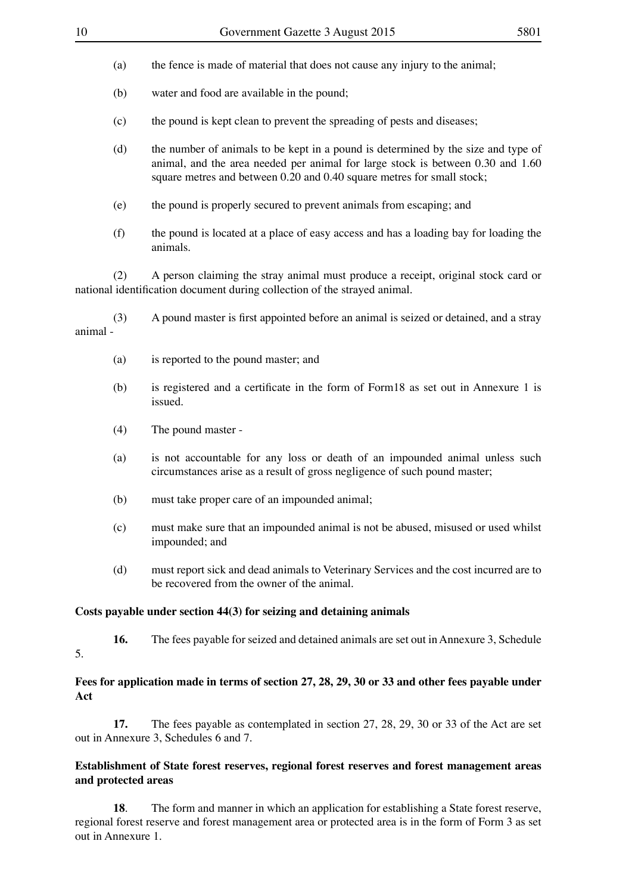- (a) the fence is made of material that does not cause any injury to the animal;
- (b) water and food are available in the pound;
- (c) the pound is kept clean to prevent the spreading of pests and diseases;
- (d) the number of animals to be kept in a pound is determined by the size and type of animal, and the area needed per animal for large stock is between 0.30 and 1.60 square metres and between 0.20 and 0.40 square metres for small stock:
- (e) the pound is properly secured to prevent animals from escaping; and
- (f) the pound is located at a place of easy access and has a loading bay for loading the animals.

(2) A person claiming the stray animal must produce a receipt, original stock card or national identification document during collection of the strayed animal.

(3) A pound master is first appointed before an animal is seized or detained, and a stray animal

- (a) is reported to the pound master; and
- (b) is registered and a certificate in the form of Form18 as set out in Annexure 1 is issued.
- (4) The pound master -
- (a) is not accountable for any loss or death of an impounded animal unless such circumstances arise as a result of gross negligence of such pound master;
- (b) must take proper care of an impounded animal;
- (c) must make sure that an impounded animal is not be abused, misused or used whilst impounded; and
- (d) must report sick and dead animals to Veterinary Services and the cost incurred are to be recovered from the owner of the animal.

### **Costs payable under section 44(3) for seizing and detaining animals**

**16.** The fees payable for seized and detained animals are set out in Annexure 3, Schedule 5.

### **Fees for application made in terms of section 27, 28, 29, 30 or 33 and other fees payable under Act**

**17.** The fees payable as contemplated in section 27, 28, 29, 30 or 33 of the Act are set out in Annexure 3, Schedules 6 and 7.

### **Establishment of State forest reserves, regional forest reserves and forest management areas and protected areas**

**18.** The form and manner in which an application for establishing a State forest reserve, regional forest reserve and forest management area or protected area is in the form of Form 3 as set out in Annexure 1.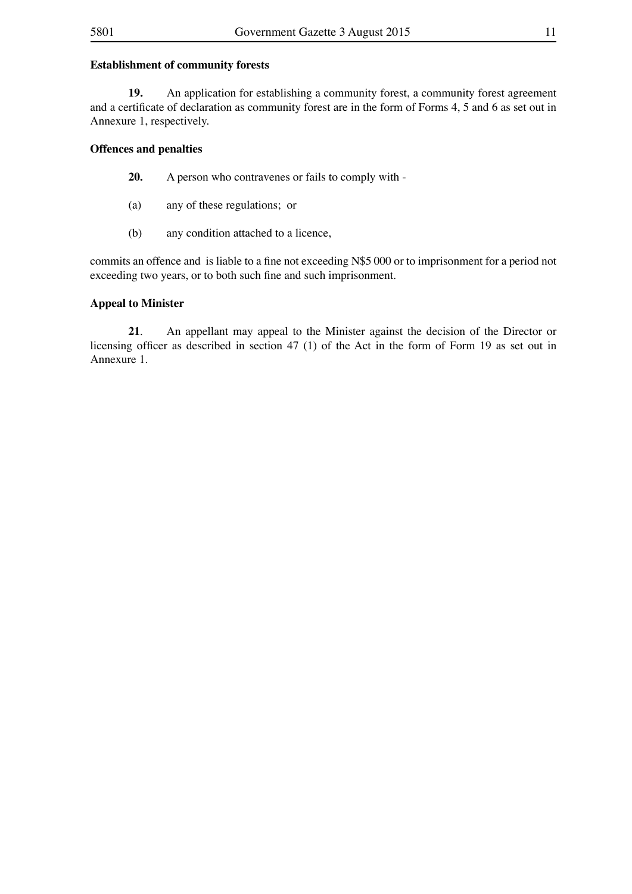### **Establishment of community forests**

**19.** An application for establishing a community forest, a community forest agreement and a certificate of declaration as community forest are in the form of Forms 4, 5 and 6 as set out in Annexure 1, respectively.

### **Offences and penalties**

- **20.** A person who contravenes or fails to comply with -
- (a) any of these regulations; or
- (b) any condition attached to a licence,

commits an offence and is liable to a fine not exceeding N\$5 000 or to imprisonment for a period not exceeding two years, or to both such fine and such imprisonment.

### **Appeal to Minister**

**21**. An appellant may appeal to the Minister against the decision of the Director or licensing officer as described in section 47 (1) of the Act in the form of Form 19 as set out in Annexure 1.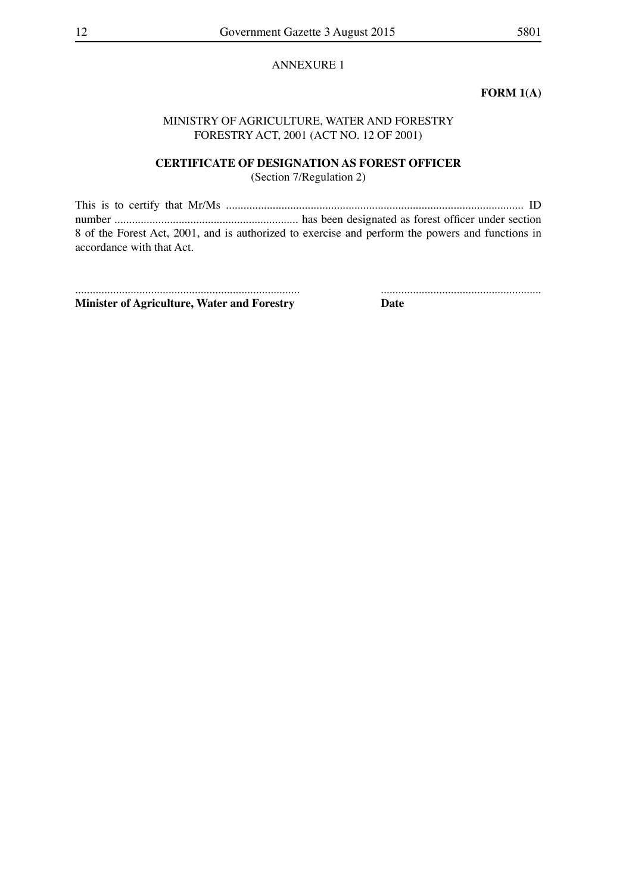### ANNEXURE 1

### **FORM 1(A)**

### MINISTRY OF AGRICULTURE, WATER AND FORESTRY FORESTRY ACT, 2001 (ACT NO. 12 OF 2001)

### **CERTIFICATE OF DESIGNATION AS FOREST OFFICER**

(Section 7/Regulation 2)

This is to certify that Mr/Ms ...................................................................................................... ID number ............................................................... has been designated as forest officer under section 8 of the Forest Act, 2001, and is authorized to exercise and perform the powers and functions in accordance with that Act.

............................................................................. ....................................................... **Minister of Agriculture, Water and Forestry Date**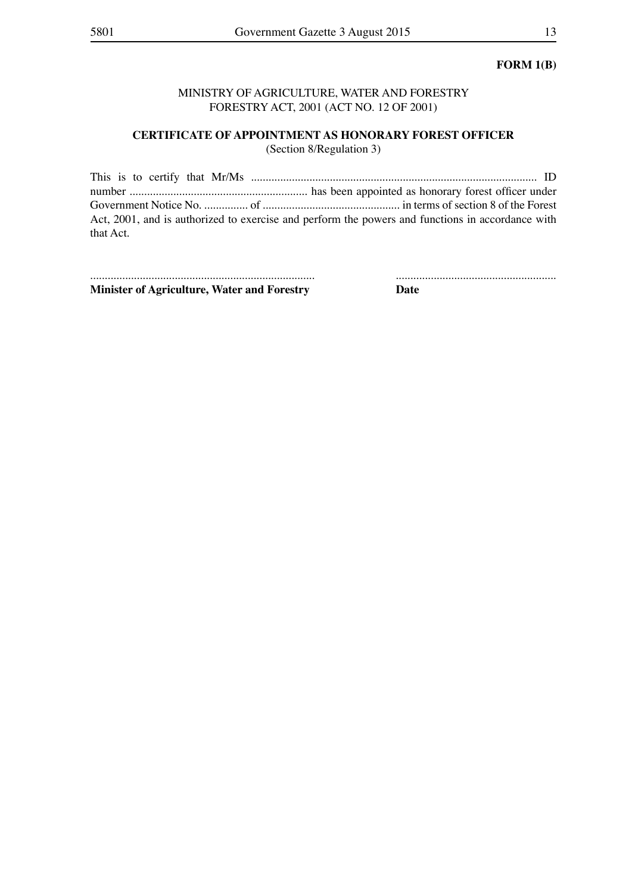### **FORM 1(B)**

### MINISTRY OF AGRICULTURE, WATER AND FORESTRY FORESTRY ACT, 2001 (ACT NO. 12 OF 2001)

# **CERTIFICATE OF APPOINTMENT AS HONORARY FOREST OFFICER**

(Section 8/Regulation 3)

|           | Act, 2001, and is authorized to exercise and perform the powers and functions in accordance with |
|-----------|--------------------------------------------------------------------------------------------------|
| that Act. |                                                                                                  |

............................................................................. ....................................................... **Minister of Agriculture, Water and Forestry Date**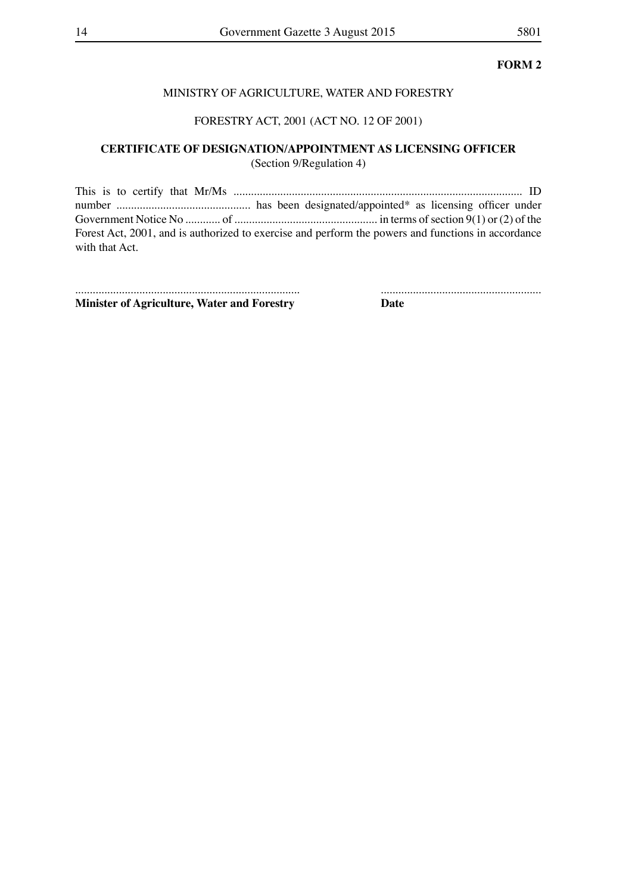### MINISTRY OF AGRICULTURE, WATER AND FORESTRY

### FORESTRY ACT, 2001 (ACT NO. 12 OF 2001)

### **CERTIFICATE OF DESIGNATION/APPOINTMENT AS LICENSING OFFICER** (Section 9/Regulation 4)

This is to certify that Mr/Ms ................................................................................................... ID number .............................................. has been designated/appointed\* as licensing officer under Government Notice No ............ of ................................................. in terms ofsection 9(1) or (2) of the Forest Act, 2001, and is authorized to exercise and perform the powers and functions in accordance with that Act.

............................................................................. ....................................................... **Minister of Agriculture, Water and Forestry Date**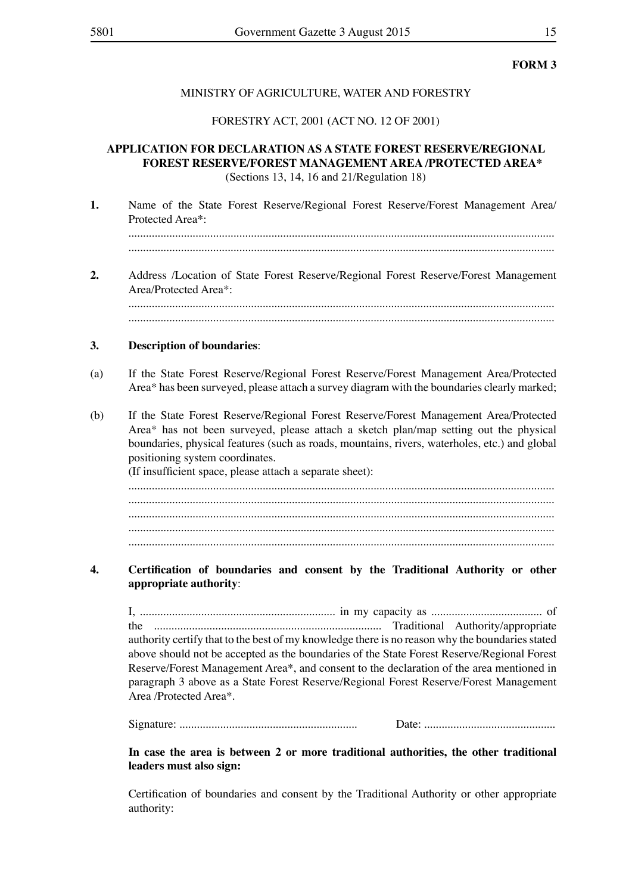### MINISTRY OF AGRICULTURE, WATER AND FORESTRY

### FORESTRY ACT, 2001 (ACT NO. 12 OF 2001)

### **APPLICATION FOR DECLARATION AS A STATE FOREST RESERVE/REGIONAL FOREST RESERVE/FOREST MANAGEMENT AREA /PROTECTED AREA\*** (Sections 13, 14, 16 and 21/Regulation 18)

**1.** Name of the State Forest Reserve/Regional Forest Reserve/Forest Management Area/ Protected Area\*:

.................................................................................................................................................. ..................................................................................................................................................

**2.** Address /Location of State Forest Reserve/Regional Forest Reserve/Forest Management Area/Protected Area\*: .................................................................................................................................................. ..................................................................................................................................................

### **3. Description of boundaries**:

- (a) If the State Forest Reserve/Regional Forest Reserve/Forest Management Area/Protected Area\* has been surveyed, please attach a survey diagram with the boundaries clearly marked;
- (b) If the State Forest Reserve/Regional Forest Reserve/Forest Management Area/Protected Area\* has not been surveyed, please attach a sketch plan/map setting out the physical boundaries, physical features (such as roads, mountains, rivers, waterholes, etc.) and global positioning system coordinates. (If insufficient space, please attach a separate sheet):

.................................................................................................................................................. .................................................................................................................................................. .................................................................................................................................................. .................................................................................................................................................. ..................................................................................................................................................

### **4. Certification of boundaries and consent by the Traditional Authority or other appropriate authority**:

I, ................................................................... in my capacity as ...................................... of the .............................................................................. Traditional Authority/appropriate authority certify that to the best of my knowledge there is no reason why the boundaries stated above should not be accepted as the boundaries of the State Forest Reserve/Regional Forest Reserve/Forest Management Area\*, and consent to the declaration of the area mentioned in paragraph 3 above as a State Forest Reserve/Regional Forest Reserve/Forest Management Area /Protected Area\*.

Signature: ............................................................. Date: .............................................

### **In case the area is between 2 or more traditional authorities, the other traditional leaders must also sign:**

Certification of boundaries and consent by the Traditional Authority or other appropriate authority: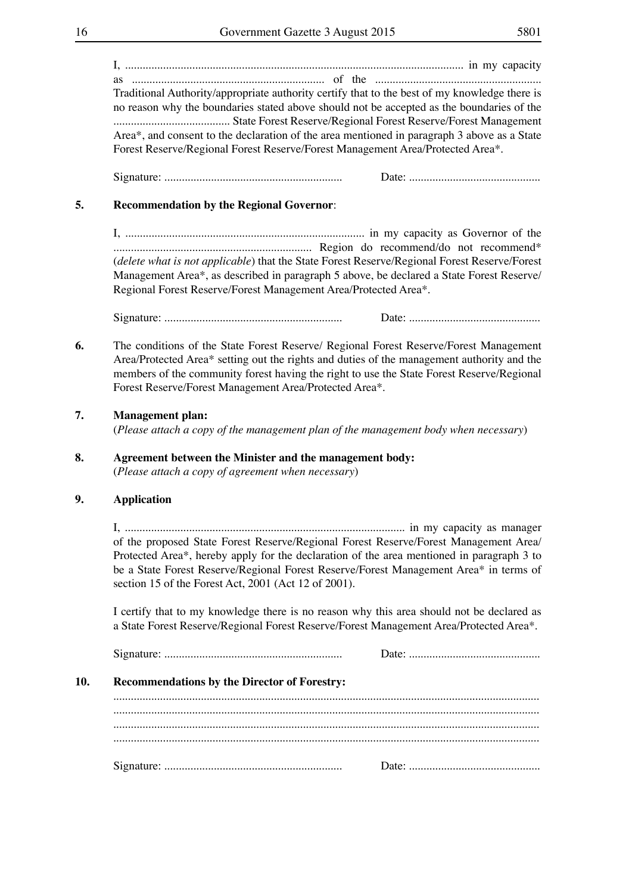I, .................................................................................................................... in my capacity as .................................................................. of the ......................................................... Traditional Authority/appropriate authority certify that to the best of my knowledge there is no reason why the boundaries stated above should not be accepted as the boundaries of the ........................................ State Forest Reserve/Regional Forest Reserve/Forest Management Area\*, and consent to the declaration of the area mentioned in paragraph 3 above as a State Forest Reserve/Regional Forest Reserve/Forest Management Area/Protected Area\*.

Signature: ............................................................. Date: .............................................

### **5. Recommendation by the Regional Governor**:

I, .................................................................................. in my capacity as Governor of the .................................................................... Region do recommend/do not recommend\* (*delete what is not applicable*) that the State Forest Reserve/Regional Forest Reserve/Forest Management Area\*, as described in paragraph 5 above, be declared a State Forest Reserve/ Regional Forest Reserve/Forest Management Area/Protected Area\*.

Signature: ............................................................. Date: .............................................

**6.** The conditions of the State Forest Reserve/ Regional Forest Reserve/Forest Management Area/Protected Area\* setting out the rights and duties of the management authority and the members of the community forest having the right to use the State Forest Reserve/Regional Forest Reserve/Forest Management Area/Protected Area\*.

### **7. Management plan:**

(*Please attach a copy of the management plan of the management body when necessary*)

### **8. Agreement between the Minister and the management body:** (*Please attach a copy of agreement when necessary*)

### **9. Application**

I, ................................................................................................ in my capacity as manager of the proposed State Forest Reserve/Regional Forest Reserve/Forest Management Area/ Protected Area\*, hereby apply for the declaration of the area mentioned in paragraph 3 to be a State Forest Reserve/Regional Forest Reserve/Forest Management Area\* in terms of section 15 of the Forest Act, 2001 (Act 12 of 2001).

I certify that to my knowledge there is no reason why this area should not be declared as a State Forest Reserve/Regional Forest Reserve/Forest Management Area/Protected Area\*.

| 10. | <b>Recommendations by the Director of Forestry:</b> |  |  |  |  |
|-----|-----------------------------------------------------|--|--|--|--|
|     |                                                     |  |  |  |  |
|     |                                                     |  |  |  |  |
|     |                                                     |  |  |  |  |
|     |                                                     |  |  |  |  |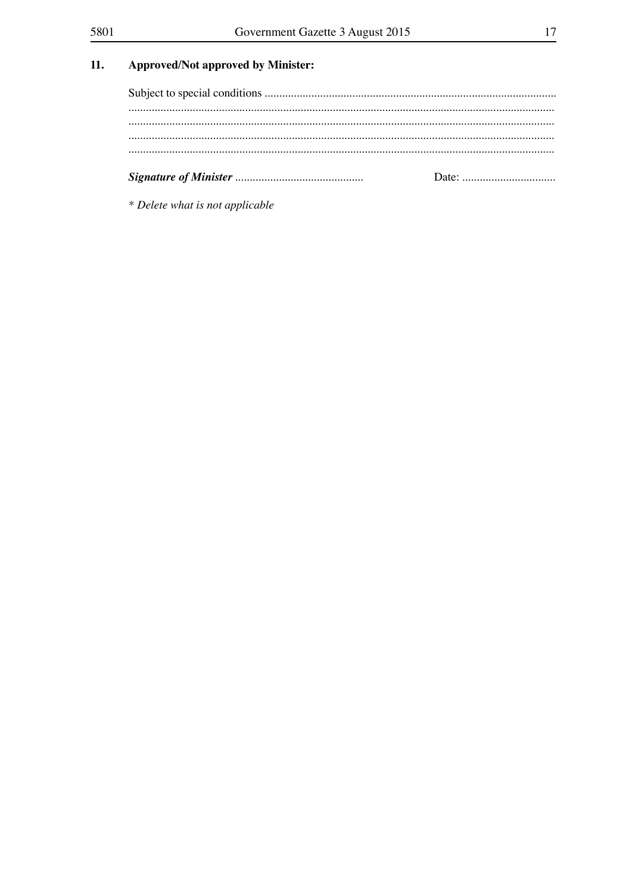### $11.$ **Approved/Not approved by Minister:**

\* Delete what is not applicable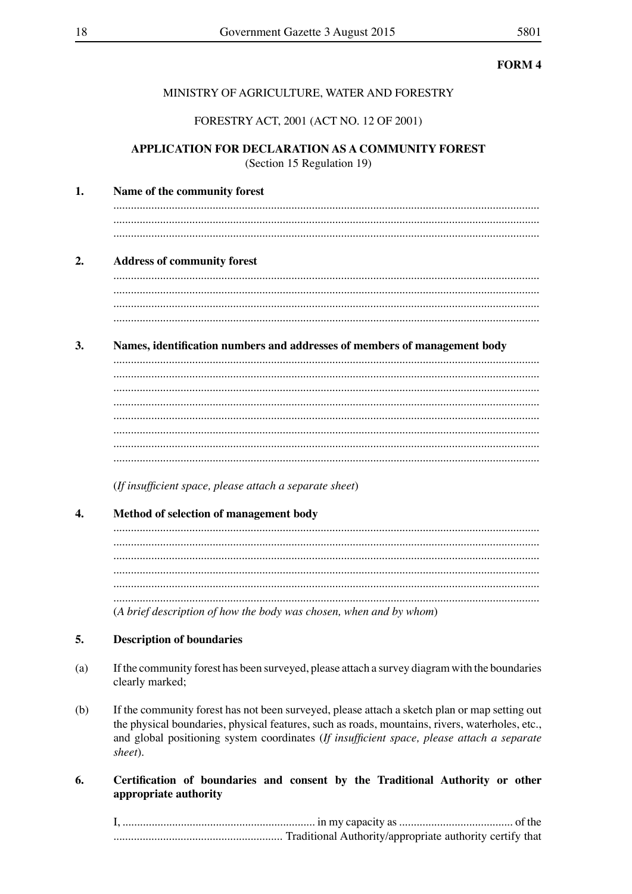### MINISTRY OF AGRICULTURE, WATER AND FORESTRY

### FORESTRY ACT, 2001 (ACT NO. 12 OF 2001)

### APPLICATION FOR DECLARATION AS A COMMUNITY FOREST (Section 15 Regulation 19)

| 1. | Name of the community forest                                              |  |  |  |
|----|---------------------------------------------------------------------------|--|--|--|
|    |                                                                           |  |  |  |
| 2. | <b>Address of community forest</b>                                        |  |  |  |
|    |                                                                           |  |  |  |
|    |                                                                           |  |  |  |
|    |                                                                           |  |  |  |
|    |                                                                           |  |  |  |
| 3. | Names, identification numbers and addresses of members of management body |  |  |  |
|    |                                                                           |  |  |  |
|    |                                                                           |  |  |  |
|    |                                                                           |  |  |  |
|    |                                                                           |  |  |  |
|    |                                                                           |  |  |  |
|    |                                                                           |  |  |  |
|    |                                                                           |  |  |  |
|    |                                                                           |  |  |  |
|    | (If insufficient space, please attach a separate sheet)                   |  |  |  |
| 4. | Method of selection of management body                                    |  |  |  |
|    |                                                                           |  |  |  |
|    |                                                                           |  |  |  |
|    |                                                                           |  |  |  |
|    |                                                                           |  |  |  |
|    |                                                                           |  |  |  |

### 5. **Description of boundaries**

 $(a)$ If the community forest has been surveyed, please attach a survey diagram with the boundaries clearly marked;

(A brief description of how the body was chosen, when and by whom)

 $(b)$ If the community forest has not been surveyed, please attach a sketch plan or map setting out the physical boundaries, physical features, such as roads, mountains, rivers, waterholes, etc., and global positioning system coordinates (If insufficient space, please attach a separate sheet).

### 6. Certification of boundaries and consent by the Traditional Authority or other appropriate authority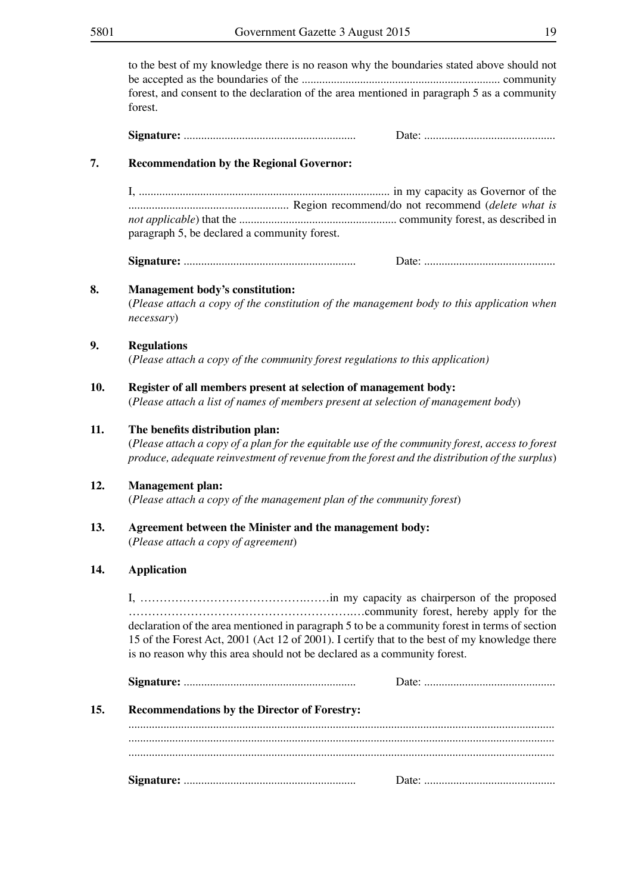to the best of my knowledge there is no reason why the boundaries stated above should not be accepted as the boundaries of the .................................................................... community forest, and consent to the declaration of the area mentioned in paragraph 5 as a community forest. **Signature:** ........................................................... Date: ............................................. **7. Recommendation by the Regional Governor:** I, ...................................................................................... in my capacity as Governor of the ....................................................... Region recommend/do not recommend (*delete what is not applicable*) that the ...................................................... community forest, as described in paragraph 5, be declared a community forest. **Signature:** ........................................................... Date: ............................................. **8. Management body's constitution:** (*Please attach a copy of the constitution of the management body to this application when necessary*) **9. Regulations** (*Please attach a copy of the community forest regulations to this application)* **10. Register of all members present at selection of management body:** (*Please attach a list of names of members present at selection of management body*) **11. The benefits distribution plan:** (*Please attach a copy of a plan for the equitable use of the community forest, access to forest produce, adequate reinvestment of revenue from the forest and the distribution of the surplus*) **12. Management plan:** (*Please attach a copy of the management plan of the community forest*) **13. Agreement between the Minister and the management body:** (*Please attach a copy of agreement*)

### **14. Application**

I, …………………………………….……in my capacity as chairperson of the proposed ………………………………………………….…community forest, hereby apply for the declaration of the area mentioned in paragraph 5 to be a community forest in terms of section 15 of the Forest Act, 2001 (Act 12 of 2001). I certify that to the best of my knowledge there is no reason why this area should not be declared as a community forest.

| 15. | <b>Recommendations by the Director of Forestry:</b> |  |
|-----|-----------------------------------------------------|--|
|     |                                                     |  |
|     |                                                     |  |
|     |                                                     |  |
|     |                                                     |  |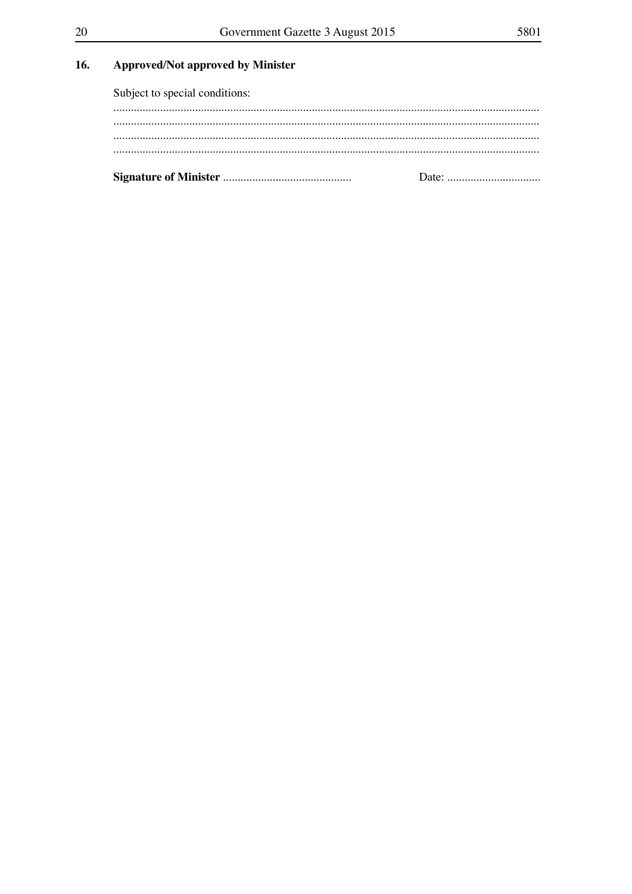### 16. **Approved/Not approved by Minister**

Subject to special conditions: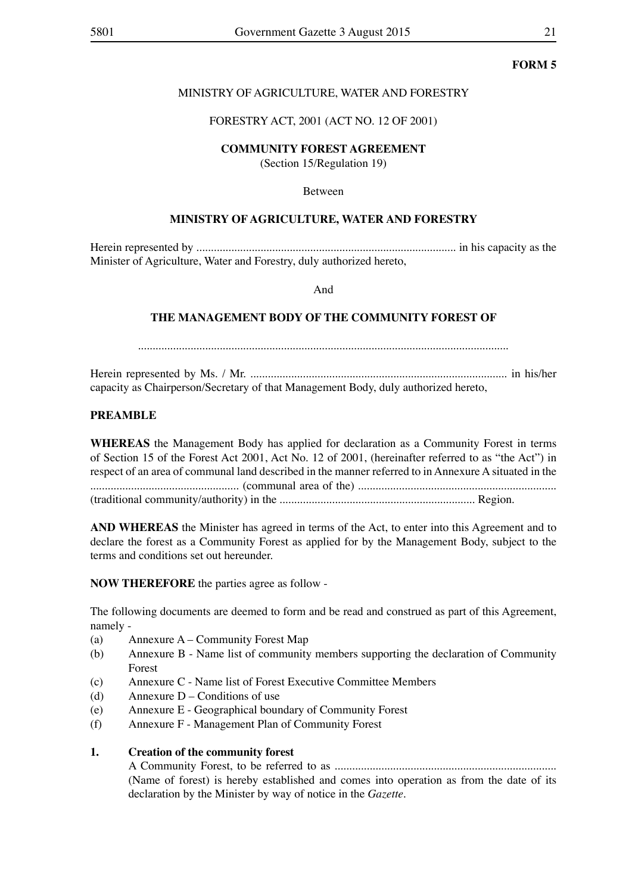### MINISTRY OF AGRICULTURE, WATER AND FORESTRY

### FORESTRY ACT, 2001 (ACT NO. 12 OF 2001)

### **COMMUNITY FOREST AGREEMENT**

(Section 15/Regulation 19)

### Between

### **MINISTRY OF AGRICULTURE, WATER AND FORESTRY**

Herein represented by ......................................................................................... in his capacity as the Minister of Agriculture, Water and Forestry, duly authorized hereto,

And

### **THE MANAGEMENT BODY OF THE COMMUNITY FOREST OF**

...............................................................................................................................

Herein represented by Ms. / Mr. ........................................................................................ in his/her capacity as Chairperson/Secretary of that Management Body, duly authorized hereto,

### **PREAMBLE**

**WHEREAS** the Management Body has applied for declaration as a Community Forest in terms of Section 15 of the Forest Act 2001, Act No. 12 of 2001, (hereinafter referred to as "the Act") in respect of an area of communal land described in the manner referred to in Annexure A situated in the ................................................... (communal area of the) .................................................................... (traditional community/authority) in the ................................................................... Region.

**AND WHEREAS** the Minister has agreed in terms of the Act, to enter into this Agreement and to declare the forest as a Community Forest as applied for by the Management Body, subject to the terms and conditions set out hereunder.

**NOW THEREFORE** the parties agree as follow -

The following documents are deemed to form and be read and construed as part of this Agreement, namely -

- (a) Annexure  $A -$  Community Forest Map
- (b) Annexure B Name list of community members supporting the declaration of Community Forest
- (c) Annexure C Name list of Forest Executive Committee Members
- (d) Annexure  $D$  Conditions of use
- (e) Annexure E Geographical boundary of Community Forest
- (f) Annexure F Management Plan of Community Forest

### **1. Creation of the community forest**

A Community Forest, to be referred to as ............................................................................ (Name of forest) is hereby established and comes into operation as from the date of its declaration by the Minister by way of notice in the *Gazette.*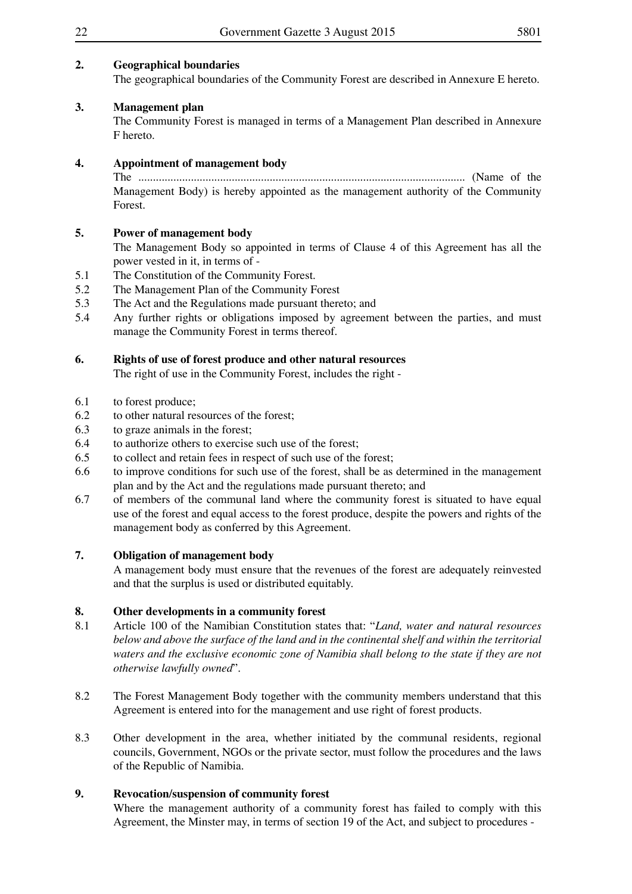### **2. Geographical boundaries**

The geographical boundaries of the Community Forest are described in Annexure E hereto.

### **3. Management plan**

The Community Forest is managed in terms of a Management Plan described in Annexure F hereto.

### **4. Appointment of management body**

The ................................................................................................................ (Name of the Management Body) is hereby appointed as the management authority of the Community Forest.

### **5. Power of management body**

The Management Body so appointed in terms of Clause 4 of this Agreement has all the power vested in it, in terms of -

- 5.1 The Constitution of the Community Forest.
- 5.2 The Management Plan of the Community Forest
- 5.3 The Act and the Regulations made pursuant thereto; and
- 5.4 Any further rights or obligations imposed by agreement between the parties, and must manage the Community Forest in terms thereof.

### **6. Rights of use of forest produce and other natural resources**

The right of use in the Community Forest, includes the right -

- 6.1 to forest produce;
- 6.2 to other natural resources of the forest;
- 6.3 to graze animals in the forest;
- 6.4 to authorize others to exercise such use of the forest;
- 6.5 to collect and retain fees in respect of such use of the forest;
- 6.6 to improve conditions for such use of the forest, shall be as determined in the management plan and by the Act and the regulations made pursuant thereto; and
- 6.7 of members of the communal land where the community forest is situated to have equal use of the forest and equal access to the forest produce, despite the powers and rights of the management body as conferred by this Agreement.

### **7. Obligation of management body**

A management body must ensure that the revenues of the forest are adequately reinvested and that the surplus is used or distributed equitably.

### **8. Other developments in a community forest**

- 8.1 Article 100 of the Namibian Constitution states that: "*Land, water and natural resources below and above the surface of the land and in the continental shelf and within the territorial waters and the exclusive economic zone of Namibia shall belong to the state if they are not otherwise lawfully owned*".
- 8.2 The Forest Management Body together with the community members understand that this Agreement is entered into for the management and use right of forest products.
- 8.3 Other development in the area, whether initiated by the communal residents, regional councils, Government, NGOs or the private sector, must follow the procedures and the laws of the Republic of Namibia.

### **9. Revocation/suspension of community forest**

Where the management authority of a community forest has failed to comply with this Agreement, the Minster may, in terms of section 19 of the Act, and subject to procedures -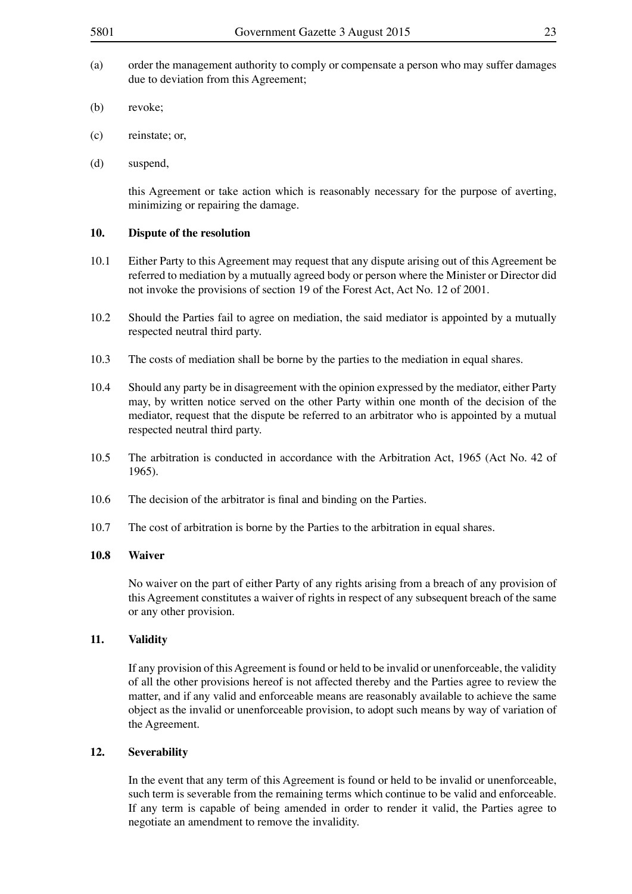- (a) order the management authority to comply or compensate a person who may suffer damages due to deviation from this Agreement;
- (b) revoke;
- (c) reinstate; or,
- (d) suspend,

this Agreement or take action which is reasonably necessary for the purpose of averting, minimizing or repairing the damage.

### **10. Dispute of the resolution**

- 10.1 Either Party to this Agreement may request that any dispute arising out of this Agreement be referred to mediation by a mutually agreed body or person where the Minister or Director did not invoke the provisions of section 19 of the Forest Act, Act No. 12 of 2001.
- 10.2 Should the Parties fail to agree on mediation, the said mediator is appointed by a mutually respected neutral third party.
- 10.3 The costs of mediation shall be borne by the parties to the mediation in equal shares.
- 10.4 Should any party be in disagreement with the opinion expressed by the mediator, either Party may, by written notice served on the other Party within one month of the decision of the mediator, request that the dispute be referred to an arbitrator who is appointed by a mutual respected neutral third party.
- 10.5 The arbitration is conducted in accordance with the Arbitration Act, 1965 (Act No. 42 of 1965).
- 10.6 The decision of the arbitrator is final and binding on the Parties.
- 10.7 The cost of arbitration is borne by the Parties to the arbitration in equal shares.

### **10.8 Waiver**

No waiver on the part of either Party of any rights arising from a breach of any provision of this Agreement constitutes a waiver of rights in respect of any subsequent breach of the same or any other provision.

### **11. Validity**

If any provision of this Agreement is found or held to be invalid or unenforceable, the validity of all the other provisions hereof is not affected thereby and the Parties agree to review the matter, and if any valid and enforceable means are reasonably available to achieve the same object as the invalid or unenforceable provision, to adopt such means by way of variation of the Agreement.

### **12. Severability**

In the event that any term of this Agreement is found or held to be invalid or unenforceable, such term is severable from the remaining terms which continue to be valid and enforceable. If any term is capable of being amended in order to render it valid, the Parties agree to negotiate an amendment to remove the invalidity.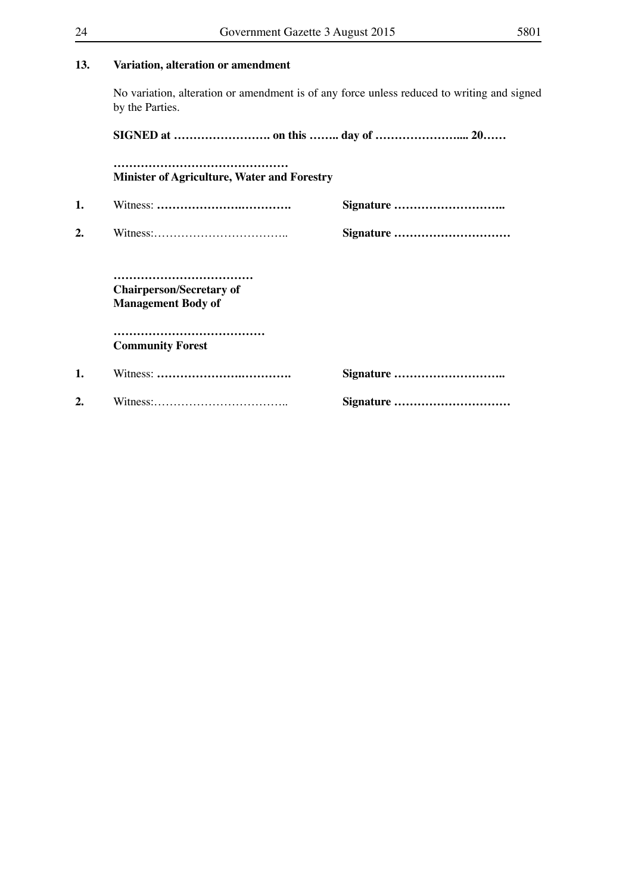|  | Variation, alteration or amendment |
|--|------------------------------------|

No variation, alteration or amendment is of any force unless reduced to writing and signed by the Parties.

**SIGNED at ……………………. on this …….. day of ………………….... 20……**

**……………………………………… Minister of Agriculture, Water and Forestry** 

**1.** Witness: **………………….…………. Signature ……………………….. 2.** Witness:…………………………….. **Signature …………………………**

**……………………………… Chairperson/Secretary of Management Body of**

**………………………………… Community Forest**

| 1. |  |
|----|--|
| 2. |  |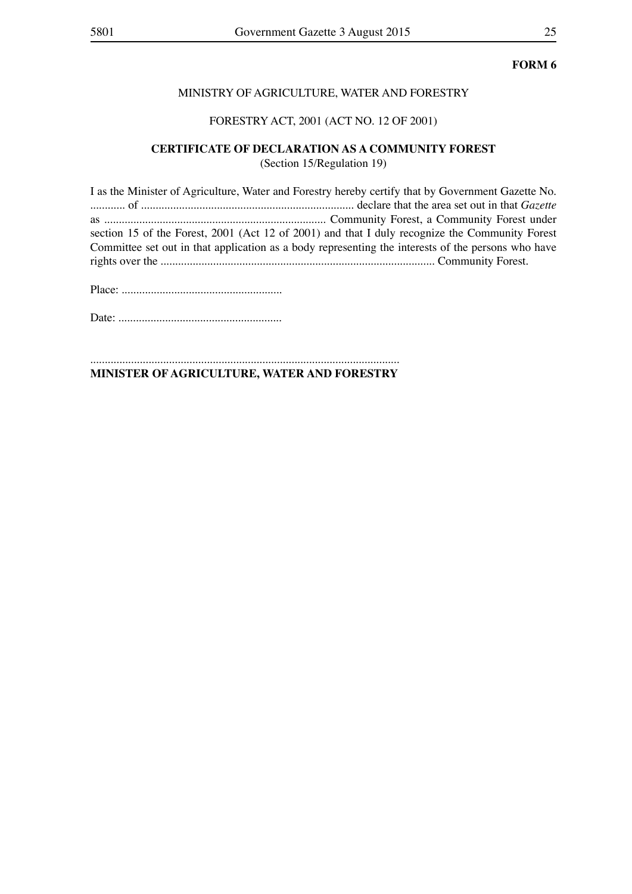### MINISTRY OF AGRICULTURE, WATER AND FORESTRY

### FORESTRY ACT, 2001 (ACT NO. 12 OF 2001)

# **CERTIFICATE OF DECLARATION AS A COMMUNITY FOREST**

(Section 15/Regulation 19)

I as the Minister of Agriculture, Water and Forestry hereby certify that by Government Gazette No. ............ of ......................................................................... declare that the area set out in that *Gazette*  as ............................................................................ Community Forest, a Community Forest under section 15 of the Forest, 2001 (Act 12 of 2001) and that I duly recognize the Community Forest Committee set out in that application as a body representing the interests of the persons who have rights over the .............................................................................................. Community Forest.

Place: .......................................................

Date: ........................................................

.......................................................................................................... **MINISTER OF AGRICULTURE, WATER AND FORESTRY**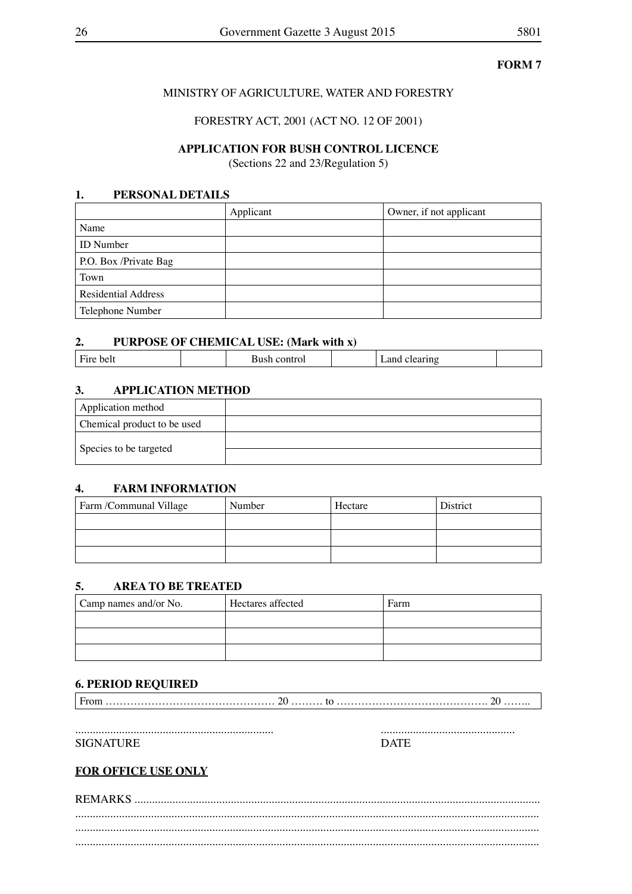### MINISTRY OF AGRICULTURE, WATER AND FORESTRY

FORESTRY ACT, 2001 (ACT NO. 12 OF 2001)

### **APPLICATION FOR BUSH CONTROL LICENCE**

(Sections 22 and 23/Regulation 5)

### **1. PERSONAL DETAILS**

|                            | Applicant | Owner, if not applicant |
|----------------------------|-----------|-------------------------|
| Name                       |           |                         |
| <b>ID</b> Number           |           |                         |
| P.O. Box /Private Bag      |           |                         |
| Town                       |           |                         |
| <b>Residential Address</b> |           |                         |
| Telephone Number           |           |                         |

### **2. PURPOSE OF CHEMICAL USE: (Mark with x)**

| $\mathbf{r}$<br>- 5<br>DE<br>. .<br><br>$ $ $ $ |  |  |  |
|-------------------------------------------------|--|--|--|
|-------------------------------------------------|--|--|--|

### **3. APPLICATION METHOD**

| Application method          |  |
|-----------------------------|--|
| Chemical product to be used |  |
|                             |  |
| Species to be targeted      |  |

### **4. FARM INFORMATION**

| Farm /Communal Village | Number | Hectare | District |
|------------------------|--------|---------|----------|
|                        |        |         |          |
|                        |        |         |          |
|                        |        |         |          |

### **5. AREA TO BE TREATED**

| Camp names and/or No. | Hectares affected | Farm |
|-----------------------|-------------------|------|
|                       |                   |      |
|                       |                   |      |
|                       |                   |      |

### **6. PERIOD REQUIRED**

From ………………………………………… 20 ……… to ……………………………………. 20 ……..

.................................................................... ..............................................

SIGNATURE DATE

### **FOR OFFICE USE ONLY**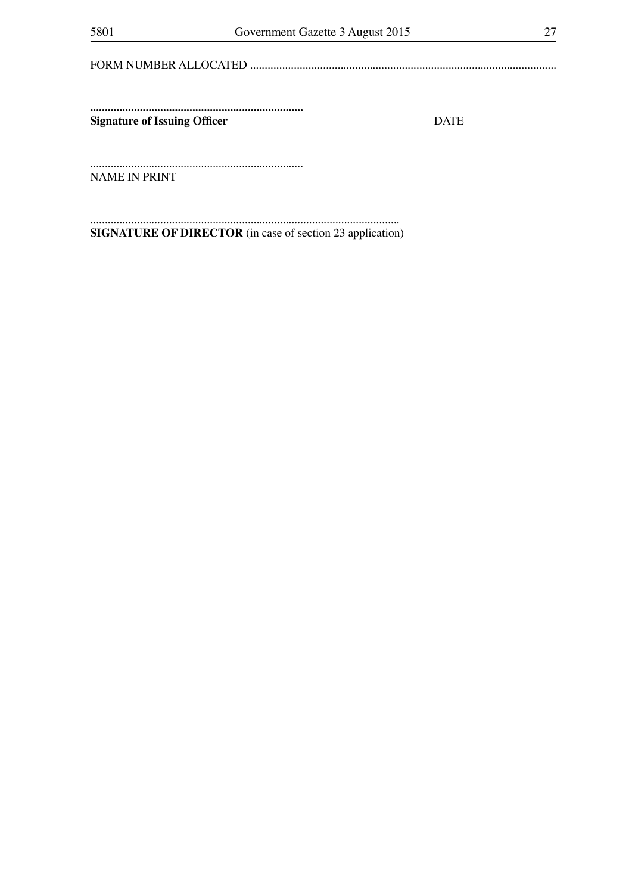**Signature of Issuing Officer** 

**DATE** 

NAME IN PRINT

**SIGNATURE OF DIRECTOR** (in case of section 23 application)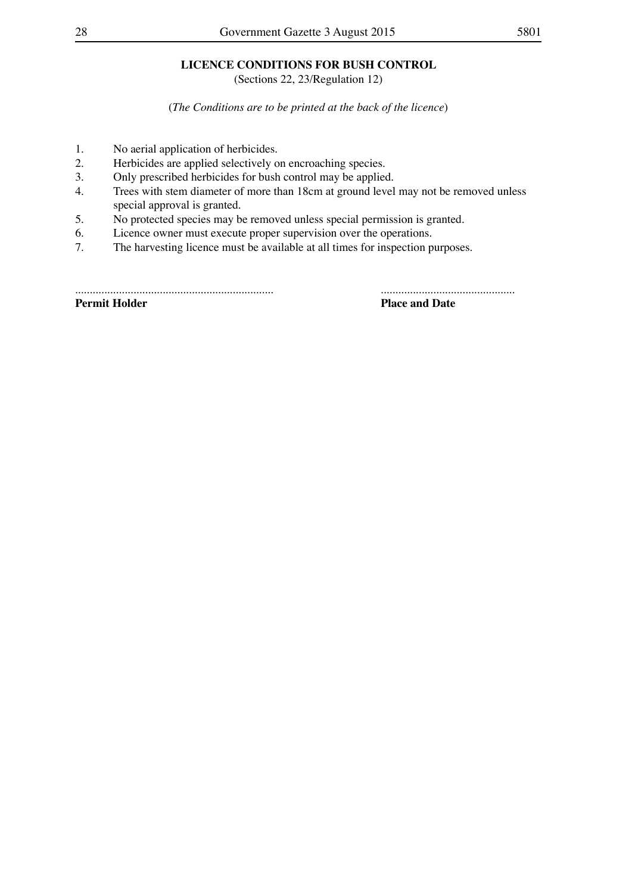# **LICENCE CONDITIONS FOR BUSH CONTROL**

(Sections 22, 23/Regulation 12)

(*The Conditions are to be printed at the back of the licence*)

- 1. No aerial application of herbicides.<br>2. Herbicides are applied selectively of
- 2. Herbicides are applied selectively on encroaching species.<br>3. Only prescribed herbicides for bush control may be applied
- Only prescribed herbicides for bush control may be applied.
- 4. Trees with stem diameter of more than 18cm at ground level may not be removed unless special approval is granted.
- 5. No protected species may be removed unless special permission is granted.
- 6. Licence owner must execute proper supervision over the operations.
- 7. The harvesting licence must be available at all times for inspection purposes.

.................................................................... ..............................................

**Permit Holder Place and Date**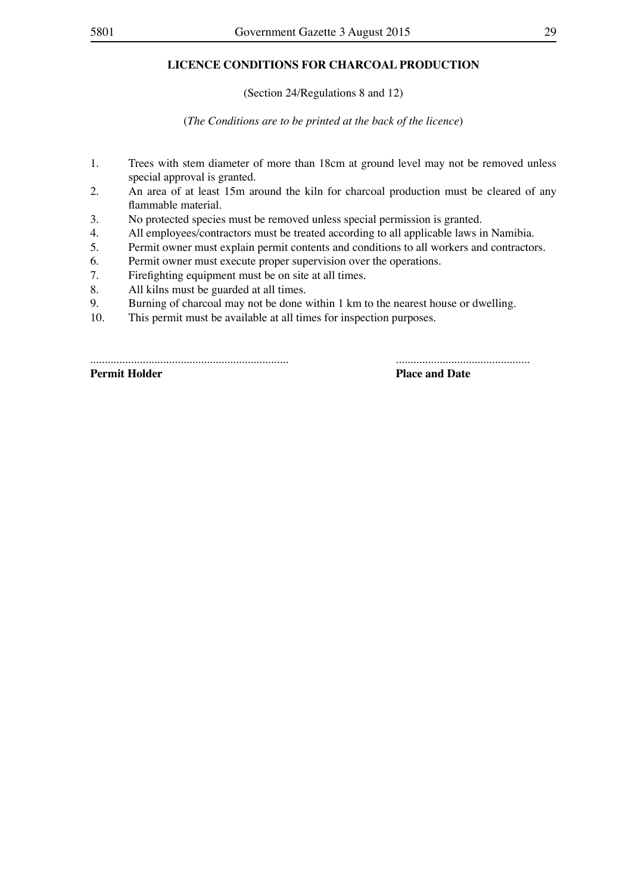### **LICENCE CONDITIONS FOR CHARCOAL PRODUCTION**

(Section 24/Regulations 8 and 12)

(*The Conditions are to be printed at the back of the licence*)

- 1. Trees with stem diameter of more than 18cm at ground level may not be removed unless special approval is granted.
- 2. An area of at least 15m around the kiln for charcoal production must be cleared of any flammable material.
- 3. No protected species must be removed unless special permission is granted.
- 4. All employees/contractors must be treated according to all applicable laws in Namibia.
- 5. Permit owner must explain permit contents and conditions to all workers and contractors.<br>6. Permit owner must execute proper supervision over the operations.
- Permit owner must execute proper supervision over the operations.
- 7. Firefighting equipment must be on site at all times.
- 8. All kilns must be guarded at all times.
- 9. Burning of charcoal may not be done within 1 km to the nearest house or dwelling.
- 10. This permit must be available at all times for inspection purposes.

.................................................................... .............................................. **Permit Holder Place and Date**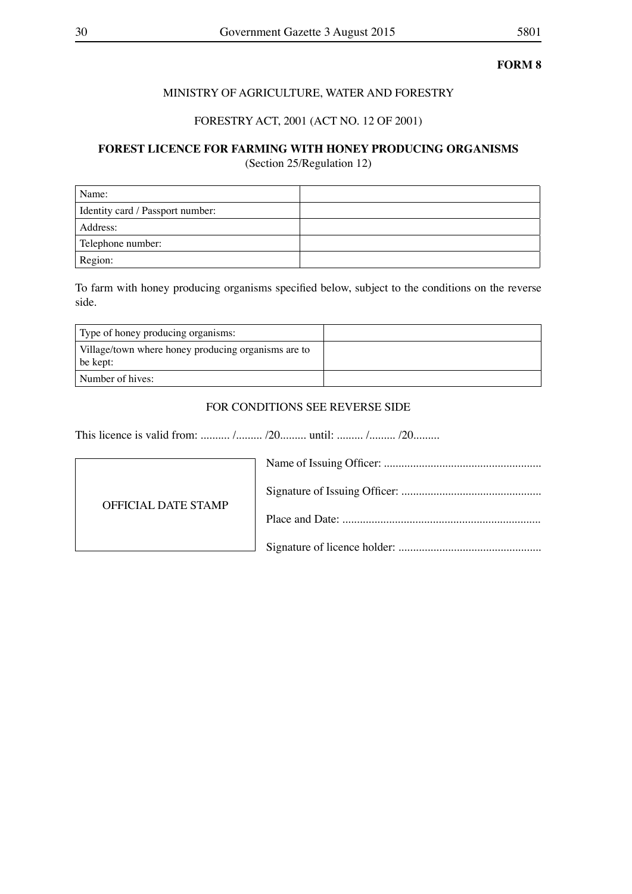### MINISTRY OF AGRICULTURE, WATER AND FORESTRY

### FORESTRY ACT, 2001 (ACT NO. 12 OF 2001)

# **FOREST LICENCE FOR FARMING WITH HONEY PRODUCING ORGANISMS**

(Section 25/Regulation 12)

| Name:                            |  |
|----------------------------------|--|
| Identity card / Passport number: |  |
| Address:                         |  |
| Telephone number:                |  |
| Region:                          |  |

To farm with honey producing organisms specified below, subject to the conditions on the reverse side.

| Type of honey producing organisms:                                |  |
|-------------------------------------------------------------------|--|
| Village/town where honey producing organisms are to<br>  be kept: |  |
| Number of hives:                                                  |  |

### FOR CONDITIONS SEE REVERSE SIDE

This licence is valid from: .......... /......... /20......... until: ......... /......... /20.........

| OFFICIAL DATE STAMP |  |
|---------------------|--|
|                     |  |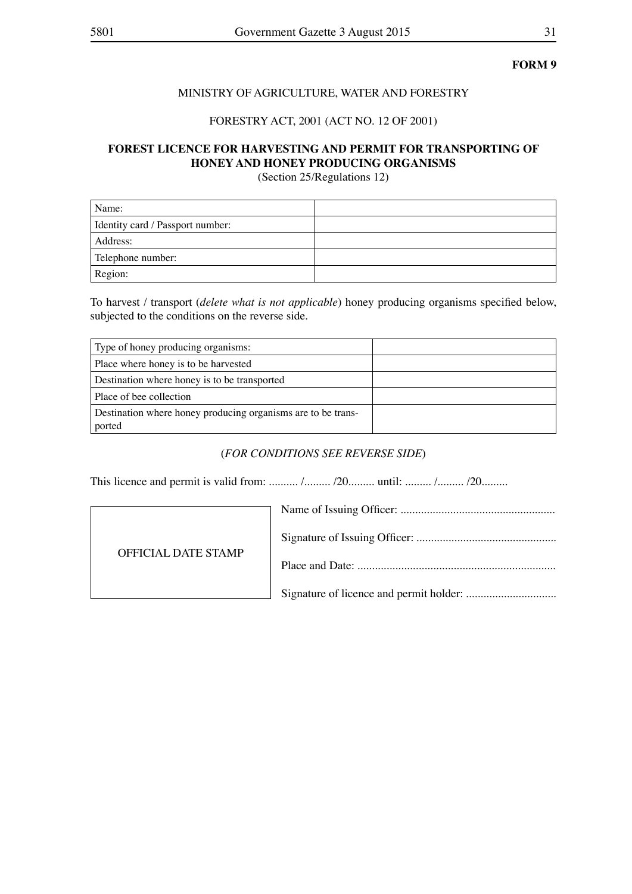### MINISTRY OF AGRICULTURE, WATER AND FORESTRY

### FORESTRY ACT, 2001 (ACT NO. 12 OF 2001)

### **FOREST LICENCE FOR HARVESTING AND PERMIT FOR TRANSPORTING OF HONEY AND HONEY PRODUCING ORGANISMS**

(Section 25/Regulations 12)

| Name:                            |  |
|----------------------------------|--|
| Identity card / Passport number: |  |
| Address:                         |  |
| Telephone number:                |  |
| Region:                          |  |

To harvest / transport (*delete what is not applicable*) honey producing organisms specified below, subjected to the conditions on the reverse side.

| Type of honey producing organisms:                                     |  |
|------------------------------------------------------------------------|--|
| Place where honey is to be harvested                                   |  |
| Destination where honey is to be transported                           |  |
| Place of bee collection                                                |  |
| Destination where honey producing organisms are to be trans-<br>ported |  |

### (*FOR CONDITIONS SEE REVERSE SIDE*)

This licence and permit is valid from: .......... /......... /20......... until: ......... /......... /20.........

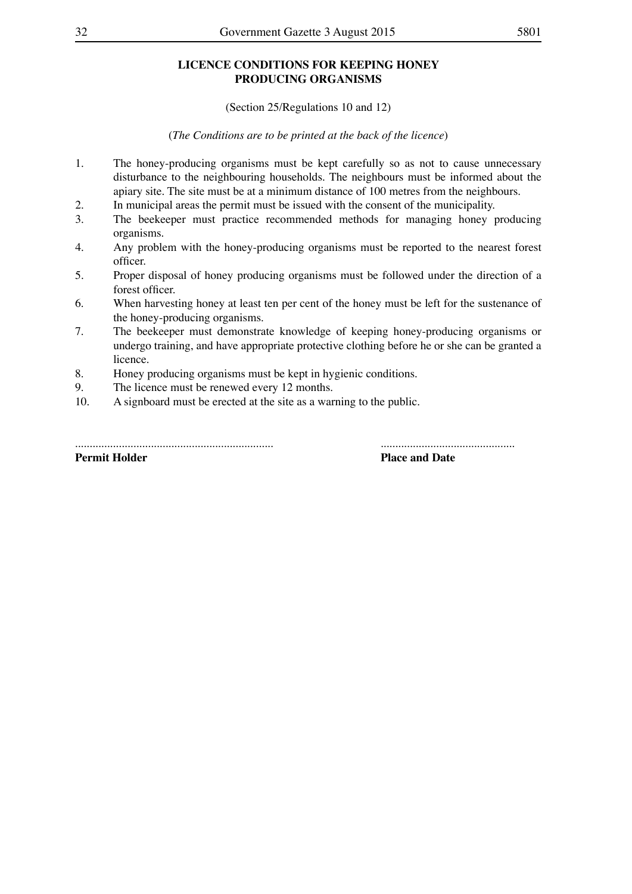### **LICENCE CONDITIONS FOR KEEPING HONEY PRODUCING ORGANISMS**

(Section 25/Regulations 10 and 12)

(*The Conditions are to be printed at the back of the licence*)

- 1. The honey-producing organisms must be kept carefully so as not to cause unnecessary disturbance to the neighbouring households. The neighbours must be informed about the apiary site. The site must be at a minimum distance of 100 metres from the neighbours.
- 2. In municipal areas the permit must be issued with the consent of the municipality.<br>
The beekeeper must practice recommended methods for managing honey r
- The beekeeper must practice recommended methods for managing honey producing organisms.
- 4. Any problem with the honey-producing organisms must be reported to the nearest forest officer.
- 5. Proper disposal of honey producing organisms must be followed under the direction of a forest officer.
- 6. When harvesting honey at least ten per cent of the honey must be left for the sustenance of the honey-producing organisms.
- 7. The beekeeper must demonstrate knowledge of keeping honey-producing organisms or undergo training, and have appropriate protective clothing before he or she can be granted a licence.
- 8. Honey producing organisms must be kept in hygienic conditions.
- 9. The licence must be renewed every 12 months.<br>10. A signboard must be erected at the site as a war
- A signboard must be erected at the site as a warning to the public.

**Permit Holder Place and Date** 

.................................................................... ..............................................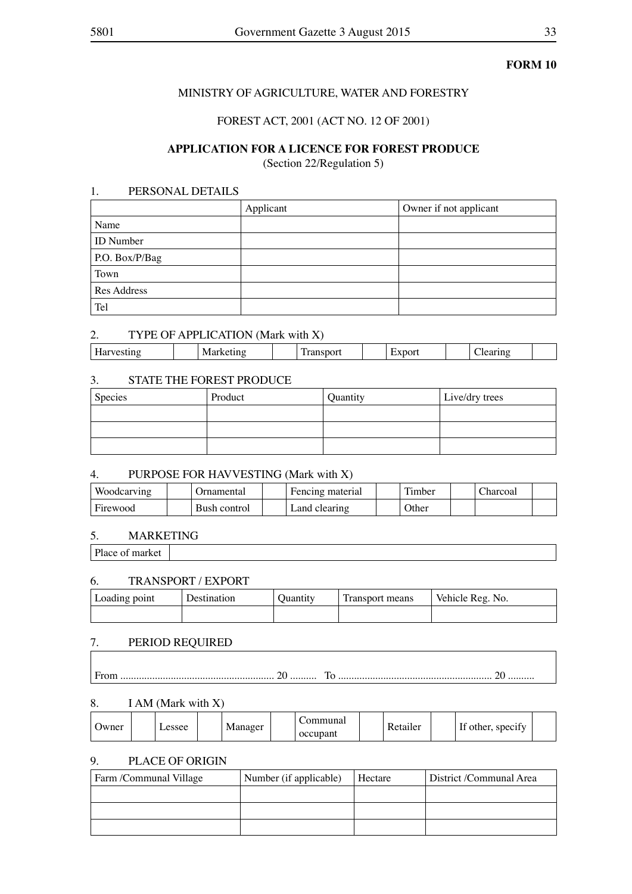### MINISTRY OF AGRICULTURE, WATER AND FORESTRY

### FOREST ACT, 2001 (ACT NO. 12 OF 2001)

### **APPLICATION FOR A LICENCE FOR FOREST PRODUCE**

(Section 22/Regulation 5)

### 1. PERSONAL DETAILS

|                    | Applicant | Owner if not applicant |
|--------------------|-----------|------------------------|
| Name               |           |                        |
| <b>ID</b> Number   |           |                        |
| P.O. Box/P/Bag     |           |                        |
| Town               |           |                        |
| <b>Res Address</b> |           |                        |
| Tel                |           |                        |

### 2. TYPE OF APPLICATION (Mark with X)

| - -<br>n<br>M<br>. . |
|----------------------|
|----------------------|

### 3. STATE THE FOREST PRODUCE

| Species | Product | Quantity | Live/dry trees |
|---------|---------|----------|----------------|
|         |         |          |                |
|         |         |          |                |
|         |         |          |                |

### 4. PURPOSE FOR HAVVESTING (Mark with X)

| Woodcarving | <i>I</i> rnamental | Fencing material | m.<br>. imber | harcoal |  |
|-------------|--------------------|------------------|---------------|---------|--|
| Firewood    | Bush control       | Land clearing    | )ther         |         |  |

### 5. MARKETING

Place of market

### 6. TRANSPORT / EXPORT

| Loading point | Destination | <b>Ouantity</b> | Fransport means | Vehicle Reg. No. |
|---------------|-------------|-----------------|-----------------|------------------|
|               |             |                 |                 |                  |

### 7. PERIOD REQUIRED

| . | .<br>. |
|---|--------|
|   |        |

### 8. I AM (Mark with X)

| Manager<br>Jwner<br>essee<br>occupant | ommunal<br>$\cdot$ $\sim$<br>$\mathbf{r}$<br>D<br>Retailer<br>other, specify |
|---------------------------------------|------------------------------------------------------------------------------|
|---------------------------------------|------------------------------------------------------------------------------|

### 9. PLACE OF ORIGIN

| Farm /Communal Village | Number (if applicable) | Hectare | District /Communal Area |
|------------------------|------------------------|---------|-------------------------|
|                        |                        |         |                         |
|                        |                        |         |                         |
|                        |                        |         |                         |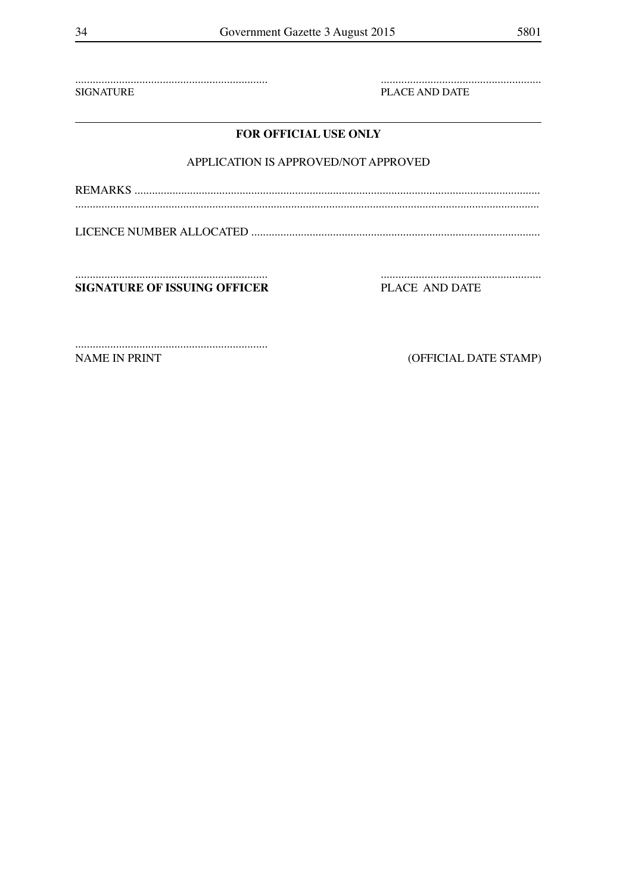**SIGNATURE** 

PLACE AND DATE

### FOR OFFICIAL USE ONLY

### APPLICATION IS APPROVED/NOT APPROVED

**SIGNATURE OF ISSUING OFFICER**  PLACE AND DATE

NAME IN PRINT

(OFFICIAL DATE STAMP)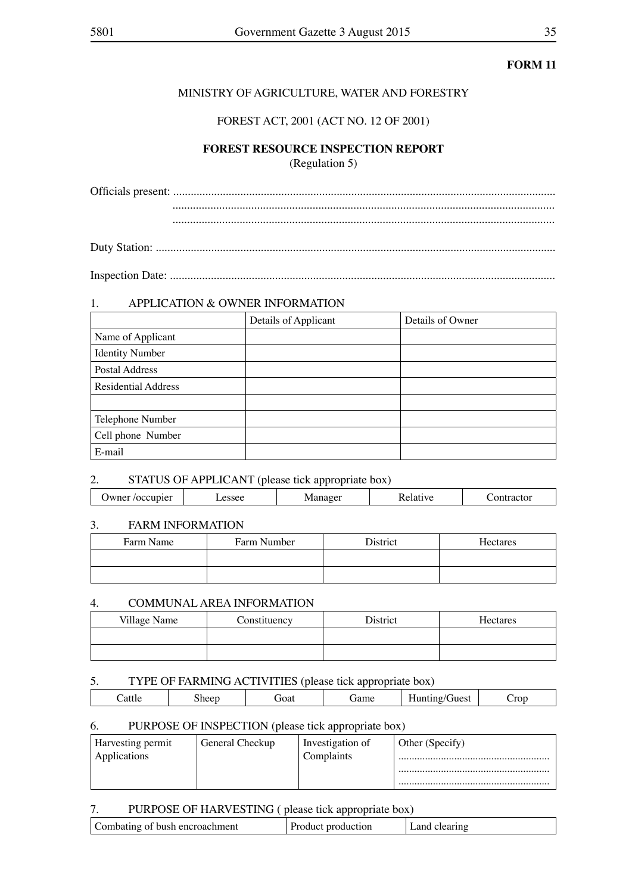### MINISTRY OF AGRICULTURE, WATER AND FORESTRY

### FOREST ACT, 2001 (ACT NO. 12 OF 2001)

### **FOREST RESOURCE INSPECTION REPORT** (Regulation 5)

Officials present: ................................................................................................................................... ................................................................................................................................... ...................................................................................................................................

Duty Station: .........................................................................................................................................

Inspection Date: ....................................................................................................................................

### 1. APPLICATION & OWNER INFORMATION

|                            | Details of Applicant | Details of Owner |
|----------------------------|----------------------|------------------|
| Name of Applicant          |                      |                  |
| <b>Identity Number</b>     |                      |                  |
| Postal Address             |                      |                  |
| <b>Residential Address</b> |                      |                  |
|                            |                      |                  |
| Telephone Number           |                      |                  |
| Cell phone Number          |                      |                  |
| E-mail                     |                      |                  |

### 2. STATUS OF APPLICANT (please tick appropriate box)

|     | -- |  |
|-----|----|--|
| IVI |    |  |
|     |    |  |

### 3. FARM INFORMATION

| Farm Name | Farm Number | <b>District</b> | Hectares |
|-----------|-------------|-----------------|----------|
|           |             |                 |          |
|           |             |                 |          |

### 4. COMMUNAL AREA INFORMATION

| Village Name | Constituency | District | Hectares |
|--------------|--------------|----------|----------|
|              |              |          |          |
|              |              |          |          |

### 5. TYPE OF FARMING ACTIVITIES (please tick appropriate box)

|        |               | ___<br>.     |       |               |
|--------|---------------|--------------|-------|---------------|
| `attle | $\sim$<br>vai | 0.422<br>ame | ruest | $C_{\rm TOP}$ |
|        |               |              |       |               |

### 6. PURPOSE OF INSPECTION (please tick appropriate box)

| <b>Harvesting permit</b> | General Checkup | Investigation of | Other (Specify) |
|--------------------------|-----------------|------------------|-----------------|
| Applications             |                 | Complaints       |                 |
|                          |                 |                  |                 |
|                          |                 |                  |                 |

### 7. PURPOSE OF HARVESTING ( please tick appropriate box)

| Combating of bush encroachment |  |
|--------------------------------|--|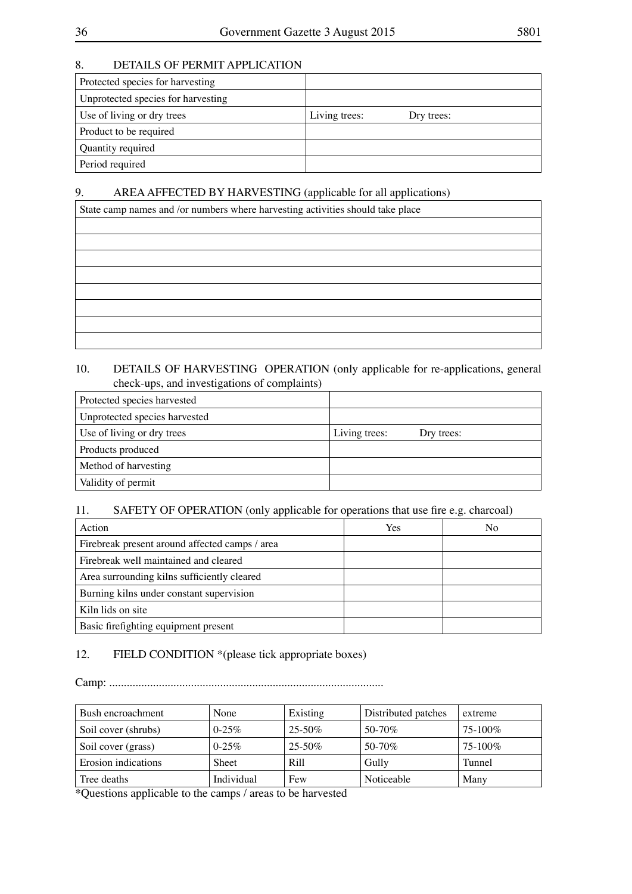### 8. DETAILS OF PERMIT APPLICATION

| Protected species for harvesting   |                             |
|------------------------------------|-----------------------------|
| Unprotected species for harvesting |                             |
| Use of living or dry trees         | Living trees:<br>Dry trees: |
| Product to be required             |                             |
| Quantity required                  |                             |
| Period required                    |                             |

### 9. AREA AFFECTED BY HARVESTING (applicable for all applications)

| State camp names and /or numbers where harvesting activities should take place |  |  |
|--------------------------------------------------------------------------------|--|--|
|                                                                                |  |  |
|                                                                                |  |  |
|                                                                                |  |  |
|                                                                                |  |  |
|                                                                                |  |  |
|                                                                                |  |  |
|                                                                                |  |  |
|                                                                                |  |  |
|                                                                                |  |  |

### 10. DETAILS OF HARVESTING OPERATION (only applicable for re-applications, general check-ups, and investigations of complaints)

| Protected species harvested   |                             |
|-------------------------------|-----------------------------|
| Unprotected species harvested |                             |
| Use of living or dry trees    | Living trees:<br>Dry trees: |
| Products produced             |                             |
| Method of harvesting          |                             |
| Validity of permit            |                             |

### 11. SAFETY OF OPERATION (only applicable for operations that use fire e.g. charcoal)

| Action                                         | Yes | No |
|------------------------------------------------|-----|----|
| Firebreak present around affected camps / area |     |    |
| Firebreak well maintained and cleared          |     |    |
| Area surrounding kilns sufficiently cleared    |     |    |
| Burning kilns under constant supervision       |     |    |
| Kiln lids on site                              |     |    |
| Basic firefighting equipment present           |     |    |

### 12. FIELD CONDITION \*(please tick appropriate boxes)

Camp: ..............................................................................................

| Bush encroachment   | None       | Existing         | Distributed patches | extreme    |
|---------------------|------------|------------------|---------------------|------------|
| Soil cover (shrubs) | $0-25%$    | $25 - 50\%$      | $50-70\%$           | $75-100\%$ |
| Soil cover (grass)  | $0-25%$    | $25 - 50\%$      | $50 - 70\%$         | $75-100\%$ |
| Erosion indications | Sheet      | R <sub>ill</sub> | Gully               | Tunnel     |
| Tree deaths         | Individual | Few              | Noticeable          | Many       |

\*Questions applicable to the camps / areas to be harvested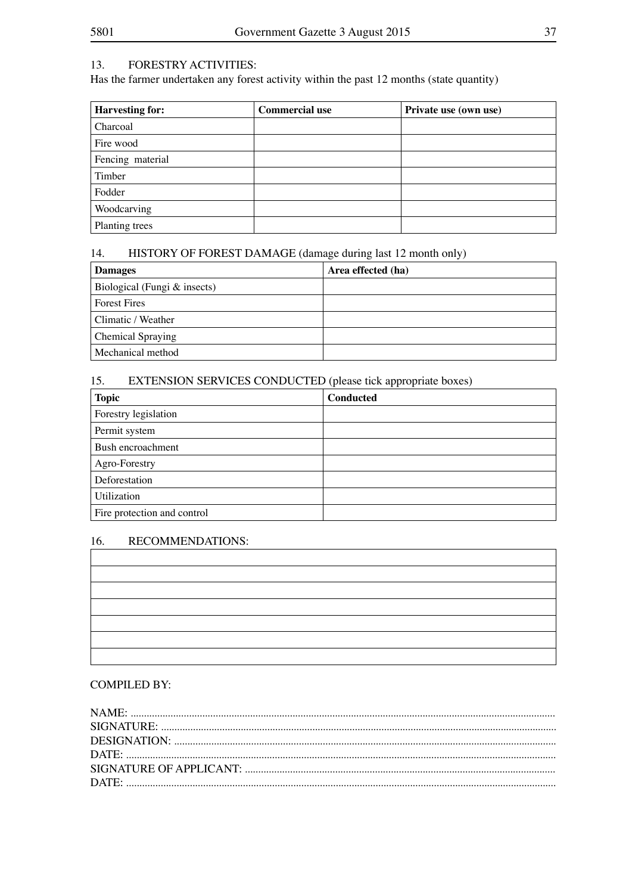### 13. FORESTRY ACTIVITIES:

Has the farmer undertaken any forest activity within the past 12 months (state quantity)

| <b>Harvesting for:</b> | <b>Commercial use</b> | Private use (own use) |
|------------------------|-----------------------|-----------------------|
| Charcoal               |                       |                       |
| Fire wood              |                       |                       |
| Fencing material       |                       |                       |
| Timber                 |                       |                       |
| Fodder                 |                       |                       |
| Woodcarving            |                       |                       |
| Planting trees         |                       |                       |

### 14. HISTORY OF FOREST DAMAGE (damage during last 12 month only)

| <b>Damages</b>               | Area effected (ha) |
|------------------------------|--------------------|
| Biological (Fungi & insects) |                    |
| <b>Forest Fires</b>          |                    |
| Climatic / Weather           |                    |
| Chemical Spraying            |                    |
| Mechanical method            |                    |

### 15. EXTENSION SERVICES CONDUCTED (please tick appropriate boxes)

| <b>Topic</b>                | <b>Conducted</b> |
|-----------------------------|------------------|
| Forestry legislation        |                  |
| Permit system               |                  |
| Bush encroachment           |                  |
| Agro-Forestry               |                  |
| Deforestation               |                  |
| Utilization                 |                  |
| Fire protection and control |                  |

### 16. RECOMMENDATIONS:

| the control of the control of the control of the control of the control of |  |  |
|----------------------------------------------------------------------------|--|--|
|                                                                            |  |  |
| $\overline{\phantom{a}}$                                                   |  |  |
|                                                                            |  |  |

### COMPILED BY: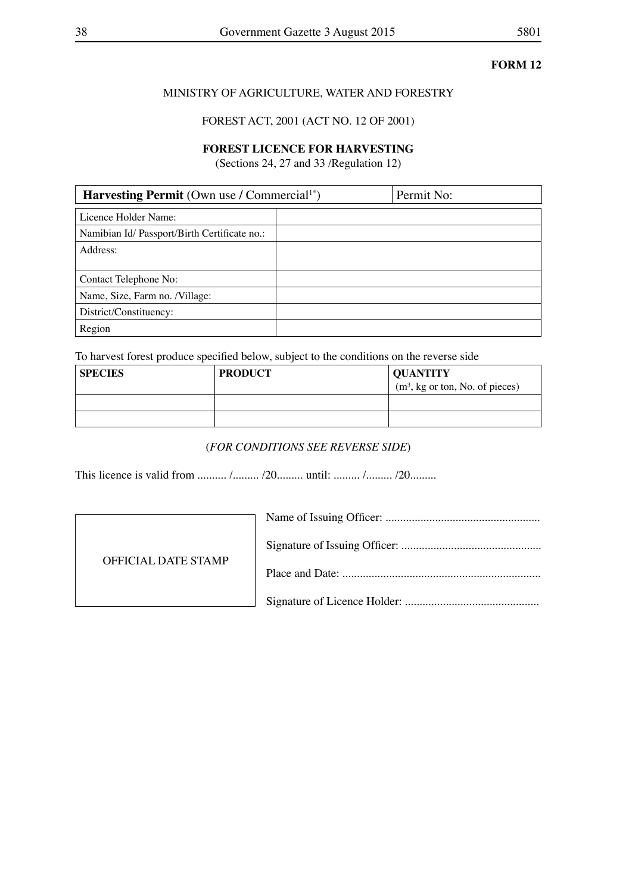### MINISTRY OF AGRICULTURE, WATER AND FORESTRY

FOREST ACT, 2001 (ACT NO. 12 OF 2001)

### **FOREST LICENCE FOR HARVESTING**

(Sections 24, 27 and 33 /Regulation 12)

| <b>Harvesting Permit</b> (Own use / Commercial <sup>1*</sup> ) |  | Permit No: |
|----------------------------------------------------------------|--|------------|
| Licence Holder Name:                                           |  |            |
| Namibian Id/ Passport/Birth Certificate no.:                   |  |            |
| Address:                                                       |  |            |
|                                                                |  |            |
| Contact Telephone No:                                          |  |            |
| Name, Size, Farm no. /Village:                                 |  |            |
| District/Constituency:                                         |  |            |
| Region                                                         |  |            |

To harvest forest produce specified below, subject to the conditions on the reverse side

| <b>SPECIES</b> | <b>PRODUCT</b> | <b>QUANTITY</b><br>$(m3, kg or ton, No. of pieces)$ |
|----------------|----------------|-----------------------------------------------------|
|                |                |                                                     |
|                |                |                                                     |

### (*FOR CONDITIONS SEE REVERSE SIDE*)

This licence is valid from .......... /......... /20......... until: ......... /......... /20.........

| OFFICIAL DATE STAMP |  |
|---------------------|--|
|                     |  |
|                     |  |
|                     |  |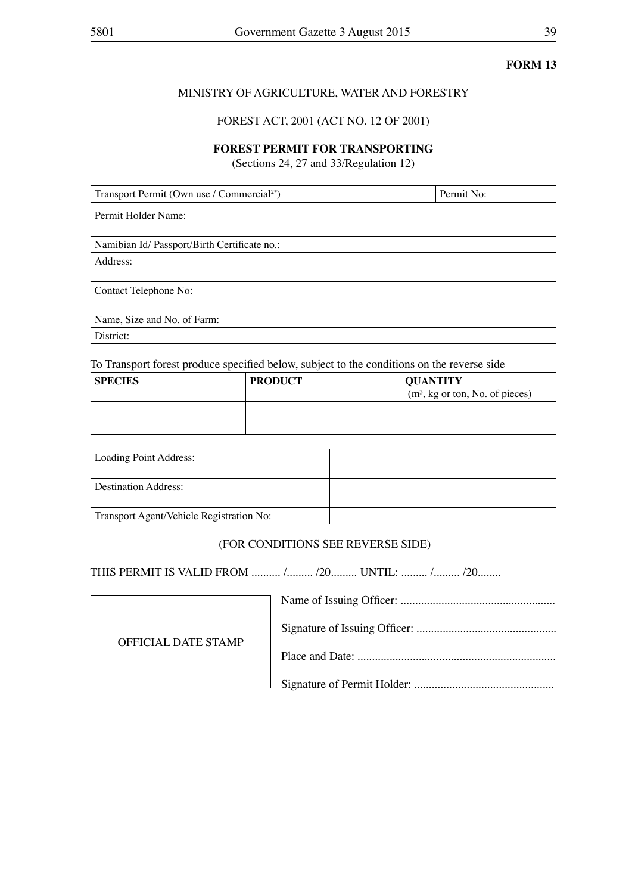### MINISTRY OF AGRICULTURE, WATER AND FORESTRY

### FOREST ACT, 2001 (ACT NO. 12 OF 2001)

### **FOREST PERMIT FOR TRANSPORTING**

(Sections 24, 27 and 33/Regulation 12)

| Transport Permit (Own use / Commercial <sup>2*</sup> ) | Permit No: |
|--------------------------------------------------------|------------|
| Permit Holder Name:                                    |            |
| Namibian Id/ Passport/Birth Certificate no.:           |            |
| Address:                                               |            |
| Contact Telephone No:                                  |            |
| Name, Size and No. of Farm:                            |            |
| District:                                              |            |

To Transport forest produce specified below, subject to the conditions on the reverse side

| <b>SPECIES</b> | <b>PRODUCT</b> | <b>OUANTITY</b><br>$(m3, kg or ton, No. of pieces)$ |
|----------------|----------------|-----------------------------------------------------|
|                |                |                                                     |
|                |                |                                                     |

| Loading Point Address:                   |  |
|------------------------------------------|--|
| <b>Destination Address:</b>              |  |
| Transport Agent/Vehicle Registration No: |  |

### (FOR CONDITIONS SEE REVERSE SIDE)

THIS PERMIT IS VALID FROM .......... /......... /20......... UNTIL: ......... /......... /20........

| <b>OFFICIAL DATE STAMP</b> |  |
|----------------------------|--|
|                            |  |
|                            |  |
|                            |  |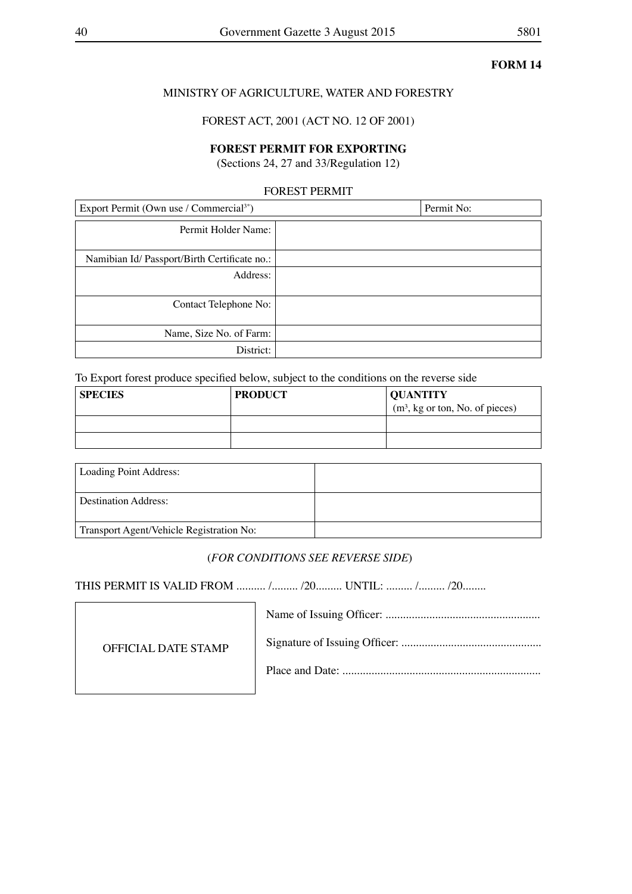### MINISTRY OF AGRICULTURE, WATER AND FORESTRY

FOREST ACT, 2001 (ACT NO. 12 OF 2001)

### **FOREST PERMIT FOR EXPORTING**

(Sections 24, 27 and 33/Regulation 12)

### FOREST PERMIT

| Export Permit (Own use / Commercial <sup>3*</sup> ) | Permit No: |
|-----------------------------------------------------|------------|
| Permit Holder Name:                                 |            |
| Namibian Id/ Passport/Birth Certificate no.:        |            |
| Address:                                            |            |
| Contact Telephone No:                               |            |
| Name, Size No. of Farm:                             |            |
| District:                                           |            |

To Export forest produce specified below, subject to the conditions on the reverse side

| <b>SPECIES</b> | <b>PRODUCT</b> | <b>OUANTITY</b>                  |
|----------------|----------------|----------------------------------|
|                |                | $(m3, kg or ton, No. of pieces)$ |
|                |                |                                  |
|                |                |                                  |

| Loading Point Address:                   |  |
|------------------------------------------|--|
| Destination Address:                     |  |
| Transport Agent/Vehicle Registration No: |  |

### (*FOR CONDITIONS SEE REVERSE SIDE*)

THIS PERMIT IS VALID FROM .......... /......... /20......... UNTIL: ......... /......... /20........

| OFFICIAL DATE STAMP |  |
|---------------------|--|
|                     |  |
|                     |  |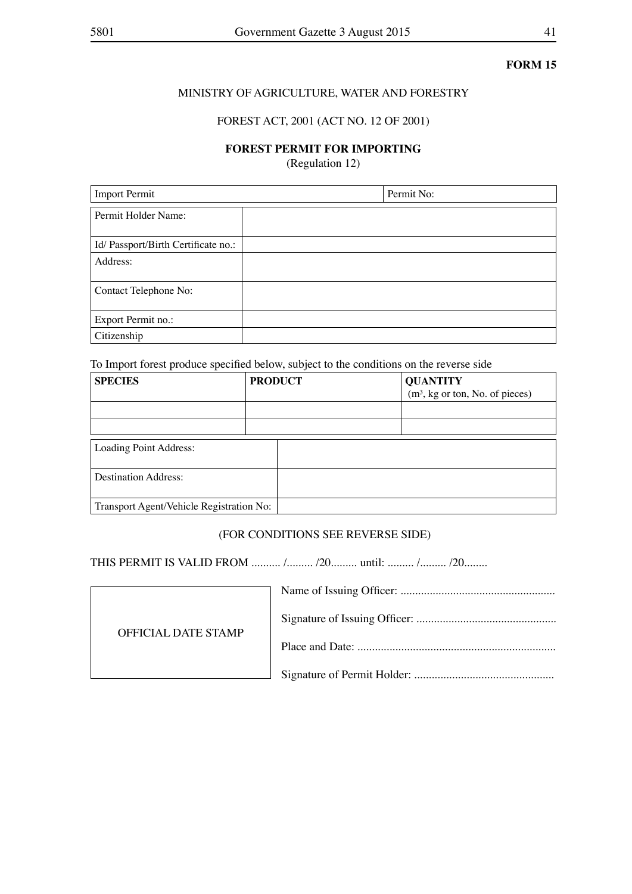### MINISTRY OF AGRICULTURE, WATER AND FORESTRY

### FOREST ACT, 2001 (ACT NO. 12 OF 2001)

### **FOREST PERMIT FOR IMPORTING**

(Regulation 12)

| <b>Import Permit</b>               | Permit No: |
|------------------------------------|------------|
| Permit Holder Name:                |            |
| Id/Passport/Birth Certificate no.: |            |
| Address:                           |            |
| Contact Telephone No:              |            |
| Export Permit no.:                 |            |
| Citizenship                        |            |

To Import forest produce specified below, subject to the conditions on the reverse side

| <b>SPECIES</b>                           | <b>PRODUCT</b> | <b>QUANTITY</b>                  |
|------------------------------------------|----------------|----------------------------------|
|                                          |                | $(m3, kg or ton, No. of pieces)$ |
|                                          |                |                                  |
|                                          |                |                                  |
| Loading Point Address:                   |                |                                  |
| <b>Destination Address:</b>              |                |                                  |
| Transport Agent/Vehicle Registration No: |                |                                  |

### (FOR CONDITIONS SEE REVERSE SIDE)

THIS PERMIT IS VALID FROM .......... /......... /20......... until: ......... /......... /20........

| <b>OFFICIAL DATE STAMP</b> |  |
|----------------------------|--|
|                            |  |
|                            |  |
|                            |  |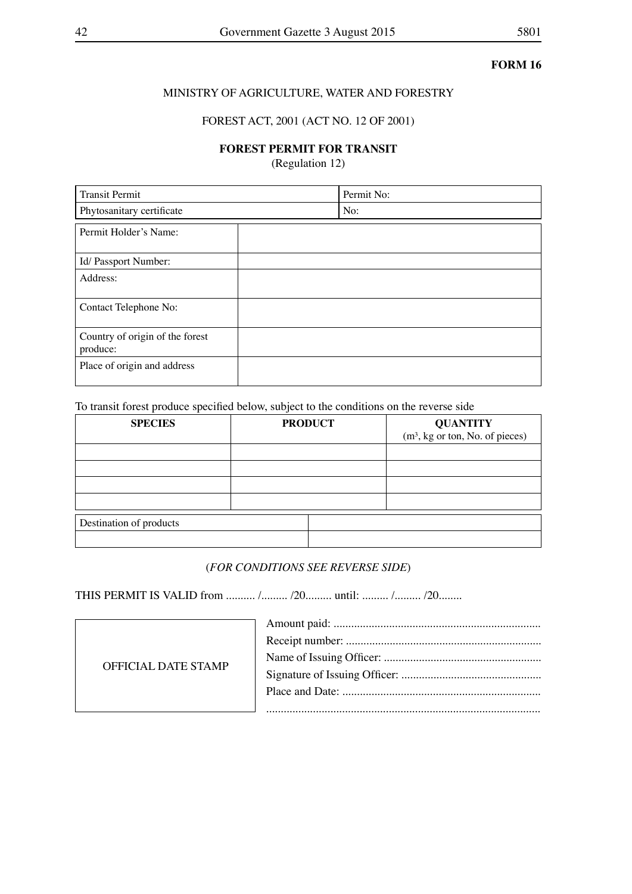### MINISTRY OF AGRICULTURE, WATER AND FORESTRY

### FOREST ACT, 2001 (ACT NO. 12 OF 2001)

### **FOREST PERMIT FOR TRANSIT**

(Regulation 12)

| <b>Transit Permit</b>                       | Permit No: |
|---------------------------------------------|------------|
| Phytosanitary certificate                   | No:        |
| Permit Holder's Name:                       |            |
| Id/ Passport Number:                        |            |
| Address:                                    |            |
| Contact Telephone No:                       |            |
| Country of origin of the forest<br>produce: |            |
| Place of origin and address                 |            |

To transit forest produce specified below, subject to the conditions on the reverse side

| <b>SPECIES</b>          | <b>PRODUCT</b> | <b>QUANTITY</b><br>$(m3, kg or ton, No. of pieces)$ |
|-------------------------|----------------|-----------------------------------------------------|
|                         |                |                                                     |
|                         |                |                                                     |
|                         |                |                                                     |
|                         |                |                                                     |
| Destination of products |                |                                                     |
|                         |                |                                                     |

### (*FOR CONDITIONS SEE REVERSE SIDE*)

THIS PERMIT IS VALID from .......... /......... /20......... until: ......... /......... /20........

| OFFICIAL DATE STAMP |  |
|---------------------|--|
|                     |  |
|                     |  |
|                     |  |
|                     |  |
|                     |  |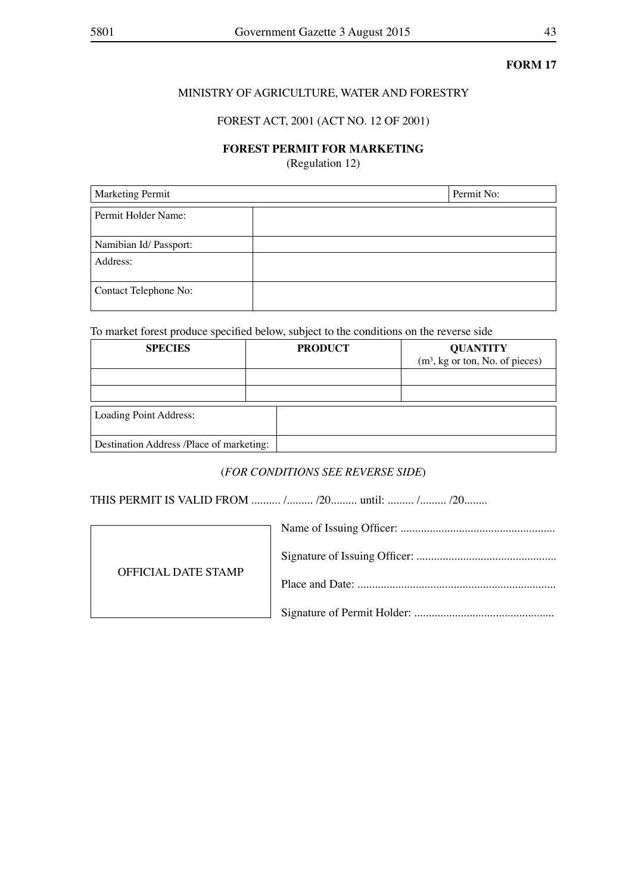### MINISTRY OF AGRICULTURE, WATER AND FORESTRY

### FOREST ACT, 2001 (ACT NO. 12 OF 2001)

### **FOREST PERMIT FOR MARKETING**

(Regulation 12)

| <b>Marketing Permit</b> | Permit No: |
|-------------------------|------------|
| Permit Holder Name:     |            |
| Namibian Id/ Passport:  |            |
| Address:                |            |
| Contact Telephone No:   |            |

To market forest produce specified below, subject to the conditions on the reverse side

| <b>SPECIES</b>                           | <b>PRODUCT</b> | <b>QUANTITY</b>                  |
|------------------------------------------|----------------|----------------------------------|
|                                          |                | $(m3, kg or ton, No. of pieces)$ |
|                                          |                |                                  |
|                                          |                |                                  |
| Loading Point Address:                   |                |                                  |
| Destination Address /Place of marketing: |                |                                  |

### (*FOR CONDITIONS SEE REVERSE SIDE*)

THIS PERMIT IS VALID FROM .......... /......... /20......... until: ......... /......... /20........



| <b>OFFICIAL DATE STAMP</b> |  |
|----------------------------|--|
|                            |  |
|                            |  |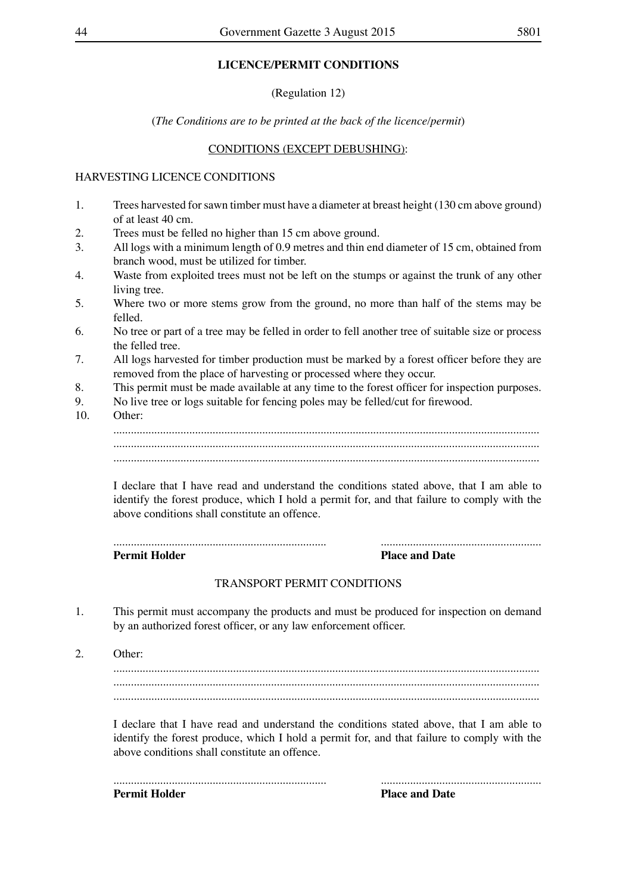### **LICENCE/PERMIT CONDITIONS**

(Regulation 12)

(*The Conditions are to be printed at the back of the licence/permit*)

### CONDITIONS (EXCEPT DEBUSHING):

### HARVESTING LICENCE CONDITIONS

- 1. Trees harvested for sawn timber must have a diameter at breast height (130 cm above ground) of at least 40 cm.
- 2. Trees must be felled no higher than 15 cm above ground.
- 3. All logs with a minimum length of 0.9 metres and thin end diameter of 15 cm, obtained from branch wood, must be utilized for timber.
- 4. Waste from exploited trees must not be left on the stumps or against the trunk of any other living tree.
- 5. Where two or more stems grow from the ground, no more than half of the stems may be felled.
- 6. No tree or part of a tree may be felled in order to fell another tree of suitable size or process the felled tree.
- 7. All logs harvested for timber production must be marked by a forest officer before they are removed from the place of harvesting or processed where they occur.
- 8. This permit must be made available at any time to the forest officer for inspection purposes.<br>9. No live tree or logs suitable for fencing poles may be felled/cut for firewood
- No live tree or logs suitable for fencing poles may be felled/cut for firewood.
- 10. Other: .................................................................................................................................................. .................................................................................................................................................. ..................................................................................................................................................

I declare that I have read and understand the conditions stated above, that I am able to identify the forest produce, which I hold a permit for, and that failure to comply with the above conditions shall constitute an offence.

### ......................................................................... ....................................................... **Permit Holder Place and Date**

### TRANSPORT PERMIT CONDITIONS

1. This permit must accompany the products and must be produced for inspection on demand by an authorized forest officer, or any law enforcement officer.

2. Other:

.................................................................................................................................................. .................................................................................................................................................. ..................................................................................................................................................

I declare that I have read and understand the conditions stated above, that I am able to identify the forest produce, which I hold a permit for, and that failure to comply with the above conditions shall constitute an offence.

| Permit Holder | <b>Place and Date</b> |
|---------------|-----------------------|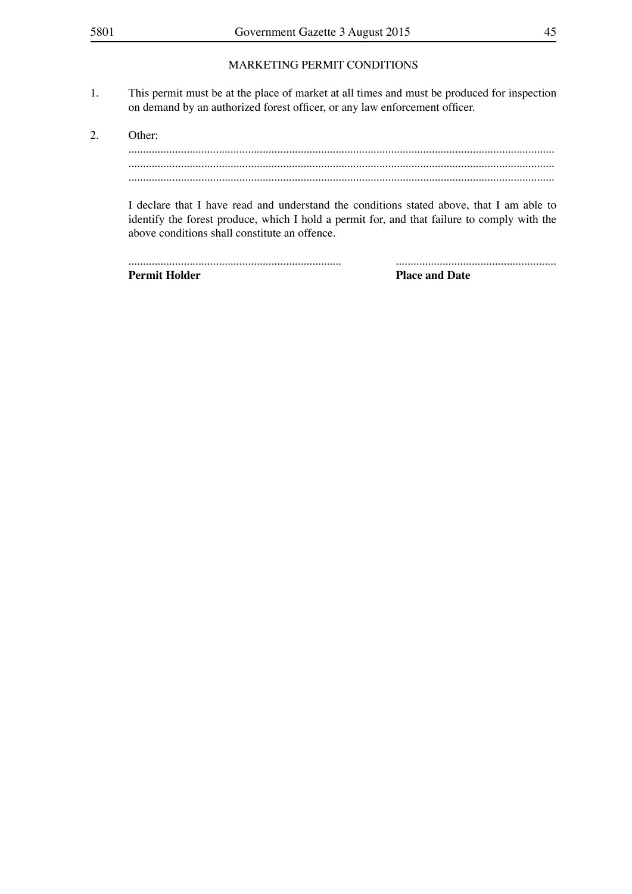### MARKETING PERMIT CONDITIONS

- 1. This permit must be at the place of market at all times and must be produced for inspection on demand by an authorized forest officer, or any law enforcement officer.
- 2. Other: .................................................................................................................................................. .................................................................................................................................................. ..................................................................................................................................................

I declare that I have read and understand the conditions stated above, that I am able to identify the forest produce, which I hold a permit for, and that failure to comply with the above conditions shall constitute an offence.

| <b>Permit Holder</b> | <b>Place and Date</b> |
|----------------------|-----------------------|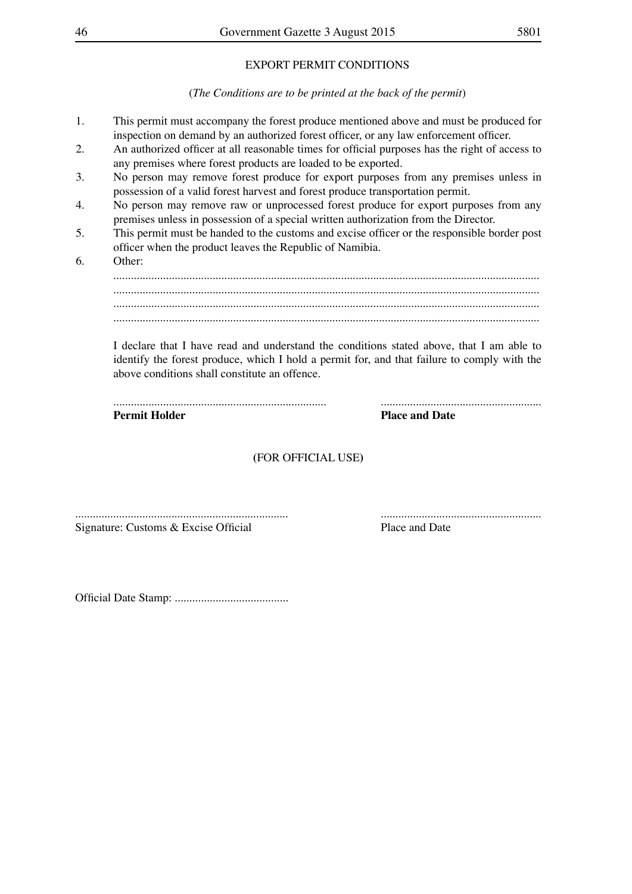### EXPORT PERMIT CONDITIONS

(*The Conditions are to be printed at the back of the permit*)

- 1. This permit must accompany the forest produce mentioned above and must be produced for inspection on demand by an authorized forest officer, or any law enforcement officer.
- 2. An authorized officer at all reasonable times for official purposes has the right of access to any premises where forest products are loaded to be exported.
- 3. No person may remove forest produce for export purposes from any premises unless in possession of a valid forest harvest and forest produce transportation permit.
- 4. No person may remove raw or unprocessed forest produce for export purposes from any premises unless in possession of a special written authorization from the Director.
- 5. This permit must be handed to the customs and excise officer or the responsible border post officer when the product leaves the Republic of Namibia.
- 6. Other: .................................................................................................................................................. .................................................................................................................................................. .................................................................................................................................................. ..................................................................................................................................................

I declare that I have read and understand the conditions stated above, that I am able to identify the forest produce, which I hold a permit for, and that failure to comply with the above conditions shall constitute an offence.

| <b>Permit Holder</b> | <b>Place and Date</b> |
|----------------------|-----------------------|

### **(**FOR OFFICIAL USE**)**

......................................................................... ....................................................... Signature: Customs & Excise Official Place and Date

Official Date Stamp: .......................................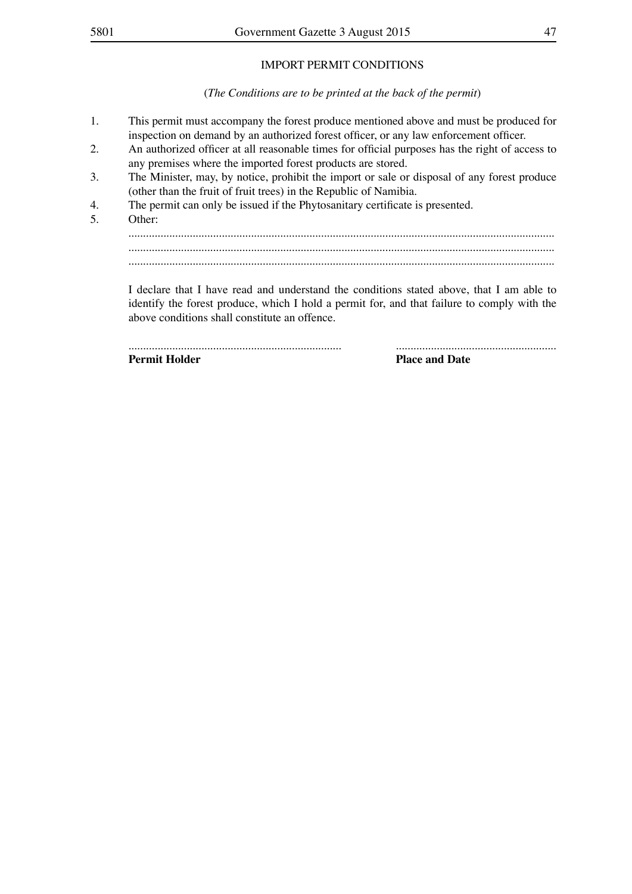### IMPORT PERMIT CONDITIONS

(*The Conditions are to be printed at the back of the permit*)

- 1. This permit must accompany the forest produce mentioned above and must be produced for inspection on demand by an authorized forest officer, or any law enforcement officer.
- 2. An authorized officer at all reasonable times for official purposes has the right of access to any premises where the imported forest products are stored.
- 3. The Minister, may, by notice, prohibit the import or sale or disposal of any forest produce (other than the fruit of fruit trees) in the Republic of Namibia.
- 4. The permit can only be issued if the Phytosanitary certificate is presented.<br>5 Other:
- Other:

.................................................................................................................................................. .................................................................................................................................................. ..................................................................................................................................................

I declare that I have read and understand the conditions stated above, that I am able to identify the forest produce, which I hold a permit for, and that failure to comply with the above conditions shall constitute an offence.

......................................................................... ....................................................... **Permit Holder Place and Date**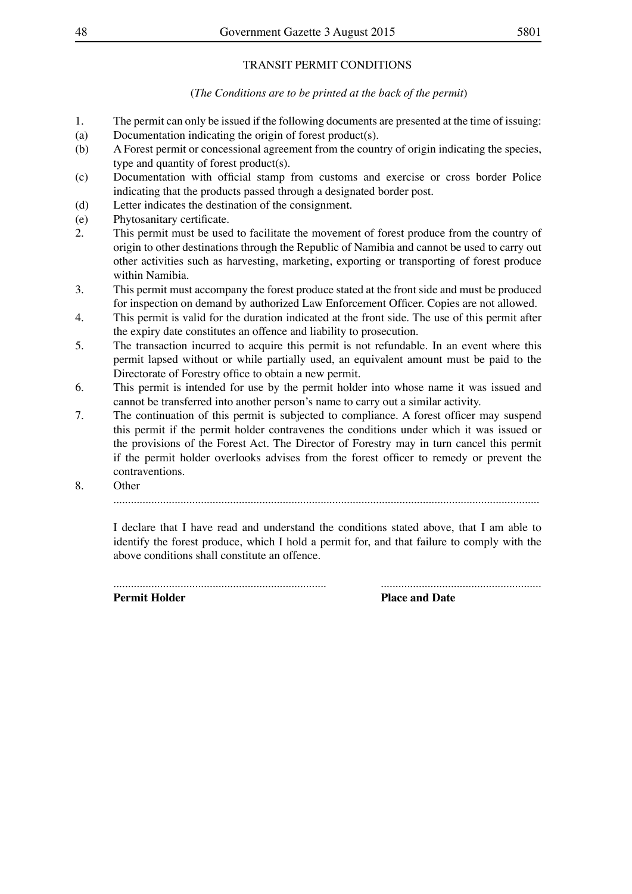### TRANSIT PERMIT CONDITIONS

### (*The Conditions are to be printed at the back of the permit*)

- 1. The permit can only be issued if the following documents are presented at the time of issuing:
- (a) Documentation indicating the origin of forest product(s).
- (b) A Forest permit or concessional agreement from the country of origin indicating the species, type and quantity of forest product(s).
- (c) Documentation with official stamp from customs and exercise or cross border Police indicating that the products passed through a designated border post.
- (d) Letter indicates the destination of the consignment.
- (e) Phytosanitary certificate.
- 2. This permit must be used to facilitate the movement of forest produce from the country of origin to other destinations through the Republic of Namibia and cannot be used to carry out other activities such as harvesting, marketing, exporting or transporting of forest produce within Namibia.
- 3. This permit must accompany the forest produce stated at the front side and must be produced for inspection on demand by authorized Law Enforcement Officer. Copies are not allowed.
- 4. This permit is valid for the duration indicated at the front side. The use of this permit after the expiry date constitutes an offence and liability to prosecution.
- 5. The transaction incurred to acquire this permit is not refundable. In an event where this permit lapsed without or while partially used, an equivalent amount must be paid to the Directorate of Forestry office to obtain a new permit.
- 6. This permit is intended for use by the permit holder into whose name it was issued and cannot be transferred into another person's name to carry out a similar activity.
- 7. The continuation of this permit is subjected to compliance. A forest officer may suspend this permit if the permit holder contravenes the conditions under which it was issued or the provisions of the Forest Act. The Director of Forestry may in turn cancel this permit if the permit holder overlooks advises from the forest officer to remedy or prevent the contraventions.
- 8. Other

..................................................................................................................................................

I declare that I have read and understand the conditions stated above, that I am able to identify the forest produce, which I hold a permit for, and that failure to comply with the above conditions shall constitute an offence.

......................................................................... ....................................................... **Permit Holder Place and Date**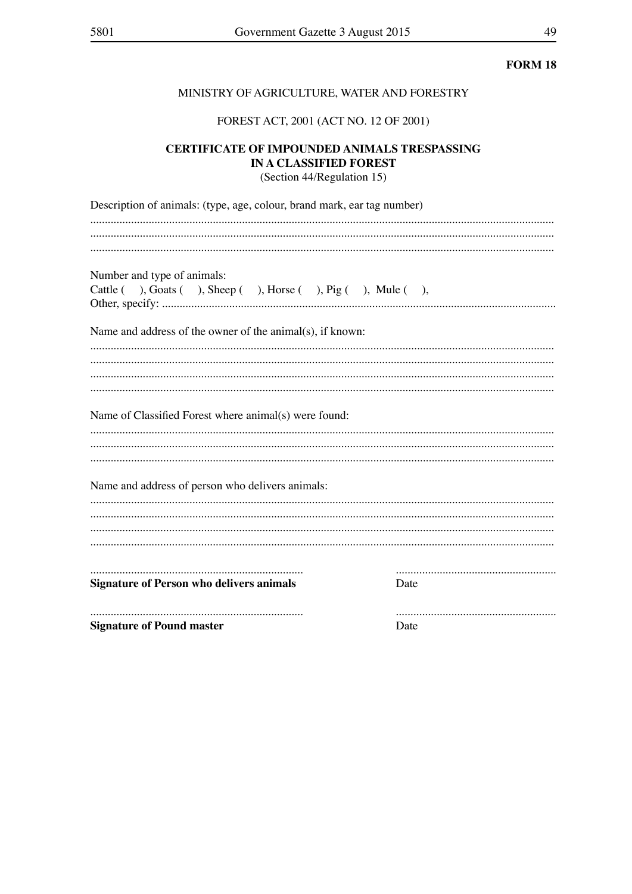### MINISTRY OF AGRICULTURE, WATER AND FORESTRY

### FOREST ACT, 2001 (ACT NO. 12 OF 2001)

# **CERTIFICATE OF IMPOUNDED ANIMALS TRESPASSING** IN A CLASSIFIED FOREST

(Section 44/Regulation 15)

| Description of animals: (type, age, colour, brand mark, ear tag number)                        |      |
|------------------------------------------------------------------------------------------------|------|
|                                                                                                |      |
| Number and type of animals:<br>Cattle ( ), Goats ( ), Sheep ( ), Horse ( ), Pig ( ), Mule ( ), |      |
| Name and address of the owner of the animal(s), if known:                                      |      |
|                                                                                                |      |
| Name of Classified Forest where animal(s) were found:                                          |      |
| Name and address of person who delivers animals:                                               |      |
|                                                                                                |      |
| <b>Signature of Person who delivers animals</b>                                                | Date |
| <b>Signature of Pound master</b>                                                               | Date |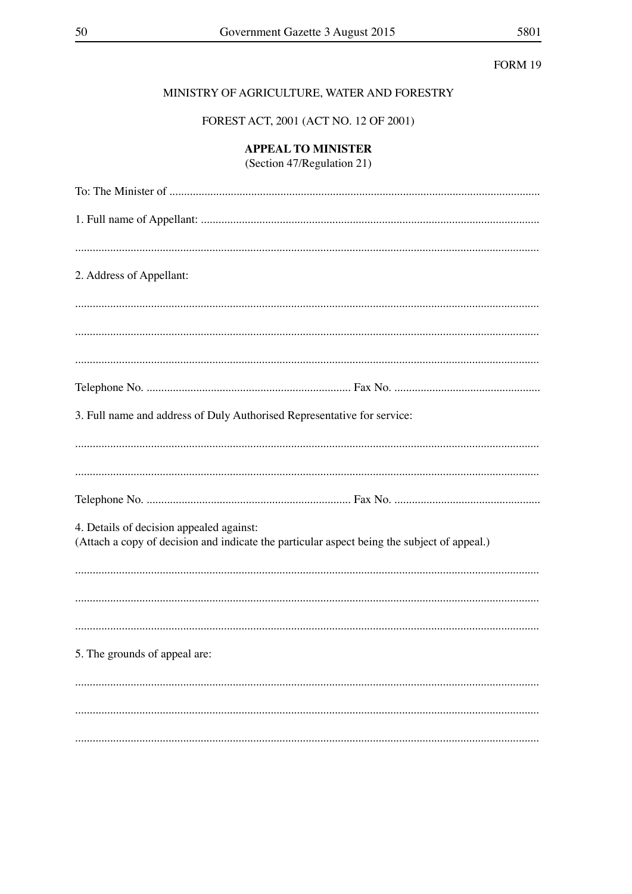### MINISTRY OF AGRICULTURE, WATER AND FORESTRY

FOREST ACT, 2001 (ACT NO. 12 OF 2001)

## **APPEAL TO MINISTER**

(Section 47/Regulation 21)

| 2. Address of Appellant:                                                                                                                |
|-----------------------------------------------------------------------------------------------------------------------------------------|
|                                                                                                                                         |
|                                                                                                                                         |
|                                                                                                                                         |
|                                                                                                                                         |
| 3. Full name and address of Duly Authorised Representative for service:                                                                 |
|                                                                                                                                         |
|                                                                                                                                         |
| 4. Details of decision appealed against:<br>(Attach a copy of decision and indicate the particular aspect being the subject of appeal.) |
|                                                                                                                                         |
|                                                                                                                                         |
|                                                                                                                                         |
| 5. The grounds of appeal are:                                                                                                           |
|                                                                                                                                         |
|                                                                                                                                         |
|                                                                                                                                         |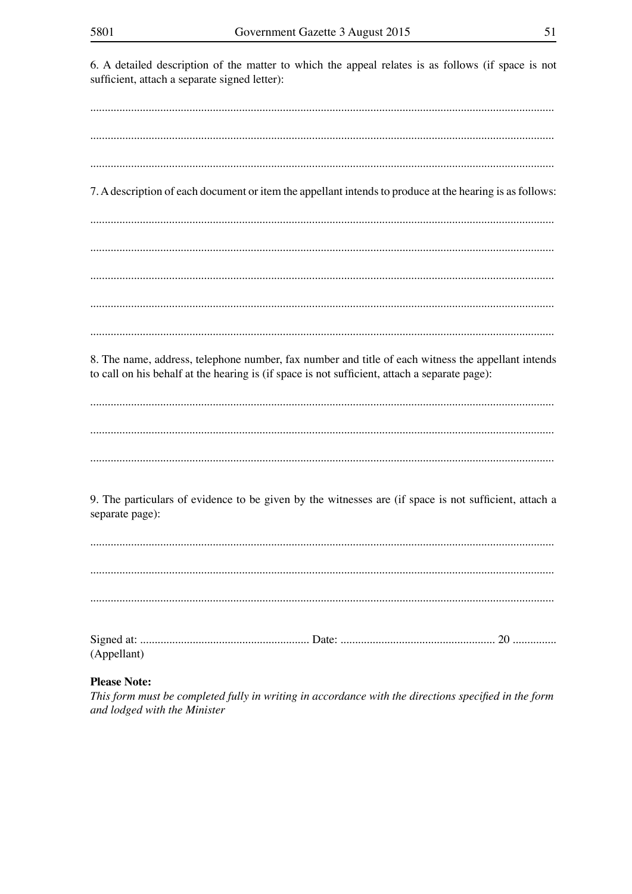6. A detailed description of the matter to which the appeal relates is as follows (if space is not sufficient, attach a separate signed letter): 7. A description of each document or item the appellant intends to produce at the hearing is as follows: 8. The name, address, telephone number, fax number and title of each witness the appellant intends to call on his behalf at the hearing is (if space is not sufficient, attach a separate page): 9. The particulars of evidence to be given by the witnesses are (if space is not sufficient, attach a separate page): (Appellant) **Please Note:** 

This form must be completed fully in writing in accordance with the directions specified in the form and lodged with the Minister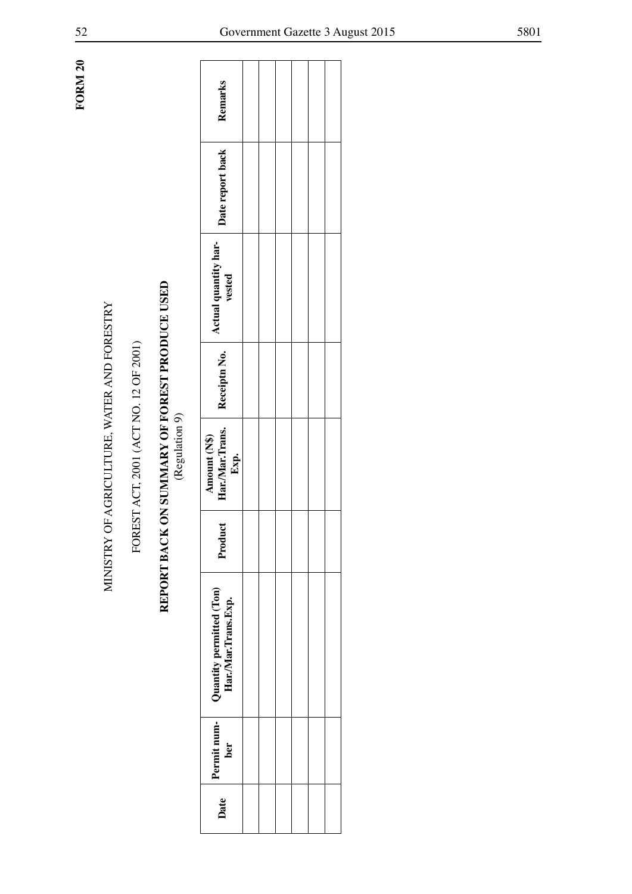**FORM 20 FORM 20**

# MINISTRY OF AGRICULTURE, WATER AND FORESTRY<br>FOREST ACT, 2001 (ACT NO. 12 OF 2001)<br>**REPORT BACK ON SUMMARY OF FOREST PRODUCE USED**<br>(Regulation 9)

| Remarks                                                                                                                                                                                          |  |  |  |
|--------------------------------------------------------------------------------------------------------------------------------------------------------------------------------------------------|--|--|--|
| Date report back                                                                                                                                                                                 |  |  |  |
| Actual quantity har-<br>vested                                                                                                                                                                   |  |  |  |
|                                                                                                                                                                                                  |  |  |  |
| $\begin{tabular}{ c c } Amount (N$) & \quad \quad & \quad \quad & \quad \quad \\ \hline Har.Mar.Trans. & Receiptn No. & \quad \quad \\ \hline Exp. & \quad \quad & \quad \quad \\ \end{tabular}$ |  |  |  |
| Product                                                                                                                                                                                          |  |  |  |
| Date Permit num-<br>Permit num-<br>Har./Mar.Trans.Exp.<br>Por                                                                                                                                    |  |  |  |
|                                                                                                                                                                                                  |  |  |  |
|                                                                                                                                                                                                  |  |  |  |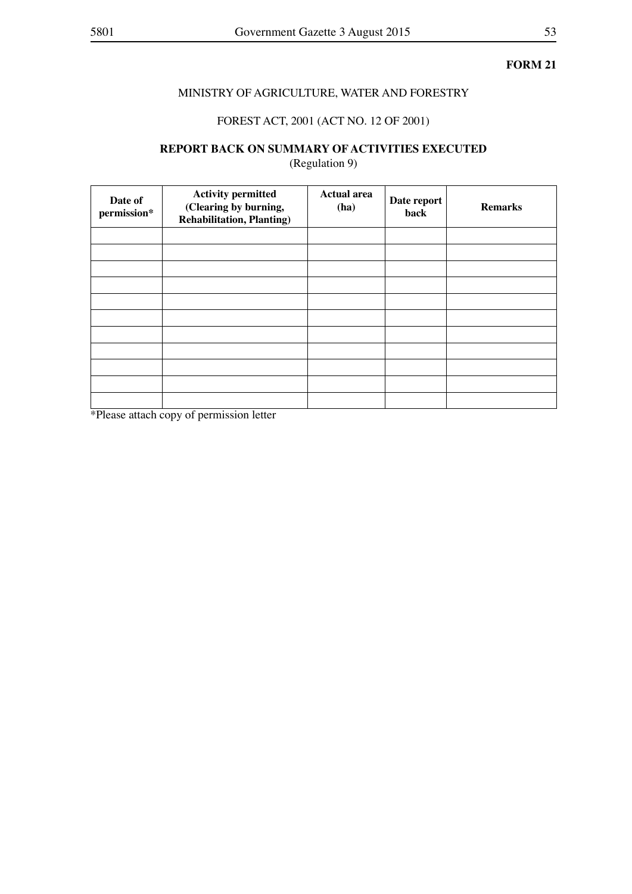### MINISTRY OF AGRICULTURE, WATER AND FORESTRY

### FOREST ACT, 2001 (ACT NO. 12 OF 2001)

# **REPORT BACK ON SUMMARY OF ACTIVITIES EXECUTED**

(Regulation 9)

| Date of<br>permission* | <b>Activity permitted</b><br>(Clearing by burning,<br><b>Rehabilitation, Planting)</b> | <b>Actual area</b><br>(ha) | Date report<br>back | <b>Remarks</b> |
|------------------------|----------------------------------------------------------------------------------------|----------------------------|---------------------|----------------|
|                        |                                                                                        |                            |                     |                |
|                        |                                                                                        |                            |                     |                |
|                        |                                                                                        |                            |                     |                |
|                        |                                                                                        |                            |                     |                |
|                        |                                                                                        |                            |                     |                |
|                        |                                                                                        |                            |                     |                |
|                        |                                                                                        |                            |                     |                |
|                        |                                                                                        |                            |                     |                |
|                        |                                                                                        |                            |                     |                |
|                        |                                                                                        |                            |                     |                |
|                        |                                                                                        |                            |                     |                |

\*Please attach copy of permission letter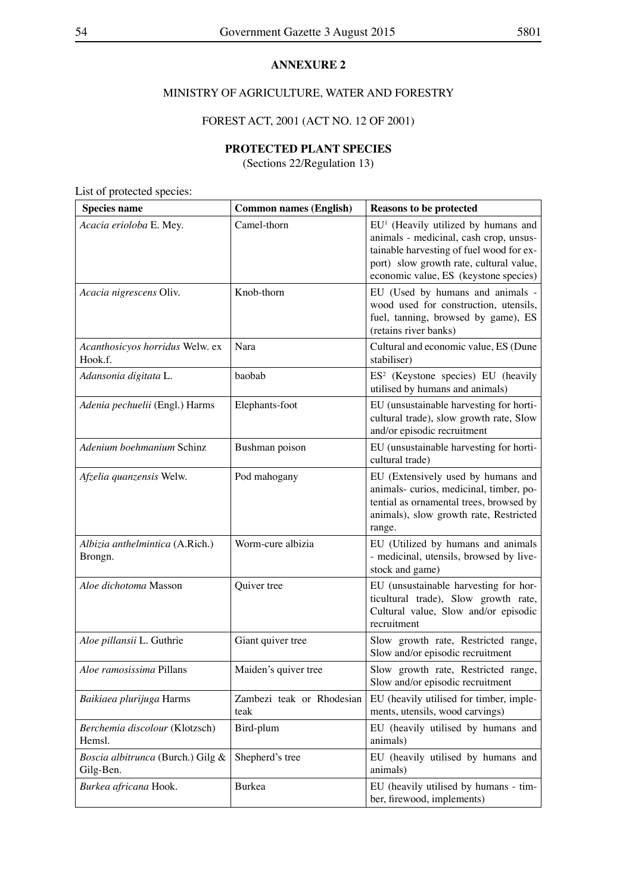### **ANNEXURE 2**

### MINISTRY OF AGRICULTURE, WATER AND FORESTRY

### FOREST ACT, 2001 (ACT NO. 12 OF 2001)

### **PROTECTED PLANT SPECIES**

(Sections 22/Regulation 13)

List of protected species:

| <b>Species name</b>                            | <b>Common names (English)</b>     | <b>Reasons to be protected</b>                                                                                                                                                                                  |
|------------------------------------------------|-----------------------------------|-----------------------------------------------------------------------------------------------------------------------------------------------------------------------------------------------------------------|
| Acacia erioloba E. Mey.                        | Camel-thorn                       | $EU1$ (Heavily utilized by humans and<br>animals - medicinal, cash crop, unsus-<br>tainable harvesting of fuel wood for ex-<br>port) slow growth rate, cultural value,<br>economic value, ES (keystone species) |
| Acacia nigrescens Oliv.                        | Knob-thorn                        | EU (Used by humans and animals -<br>wood used for construction, utensils,<br>fuel, tanning, browsed by game), ES<br>(retains river banks)                                                                       |
| Acanthosicyos horridus Welw. ex<br>Hook.f.     | Nara                              | Cultural and economic value, ES (Dune<br>stabiliser)                                                                                                                                                            |
| Adansonia digitata L.                          | baobab                            | ES <sup>2</sup> (Keystone species) EU (heavily<br>utilised by humans and animals)                                                                                                                               |
| Adenia pechuelii (Engl.) Harms                 | Elephants-foot                    | EU (unsustainable harvesting for horti-<br>cultural trade), slow growth rate, Slow<br>and/or episodic recruitment                                                                                               |
| Adenium boehmanium Schinz                      | Bushman poison                    | EU (unsustainable harvesting for horti-<br>cultural trade)                                                                                                                                                      |
| Afzelia quanzensis Welw.                       | Pod mahogany                      | EU (Extensively used by humans and<br>animals-curios, medicinal, timber, po-<br>tential as ornamental trees, browsed by<br>animals), slow growth rate, Restricted<br>range.                                     |
| Albizia anthelmintica (A.Rich.)<br>Brongn.     | Worm-cure albizia                 | EU (Utilized by humans and animals<br>- medicinal, utensils, browsed by live-<br>stock and game)                                                                                                                |
| Aloe dichotoma Masson                          | Quiver tree                       | EU (unsustainable harvesting for hor-<br>ticultural trade), Slow growth rate,<br>Cultural value, Slow and/or episodic<br>recruitment                                                                            |
| Aloe pillansii L. Guthrie                      | Giant quiver tree                 | Slow growth rate, Restricted range,<br>Slow and/or episodic recruitment                                                                                                                                         |
| Aloe ramosissima Pillans                       | Maiden's quiver tree              | Slow growth rate, Restricted range,<br>Slow and/or episodic recruitment                                                                                                                                         |
| Baikiaea plurijuga Harms                       | Zambezi teak or Rhodesian<br>teak | EU (heavily utilised for timber, imple-<br>ments, utensils, wood carvings)                                                                                                                                      |
| Berchemia discolour (Klotzsch)<br>Hemsl.       | Bird-plum                         | EU (heavily utilised by humans and<br>animals)                                                                                                                                                                  |
| Boscia albitrunca (Burch.) Gilg &<br>Gilg-Ben. | Shepherd's tree                   | EU (heavily utilised by humans and<br>animals)                                                                                                                                                                  |
| Burkea africana Hook.                          | <b>Burkea</b>                     | EU (heavily utilised by humans - tim-<br>ber, firewood, implements)                                                                                                                                             |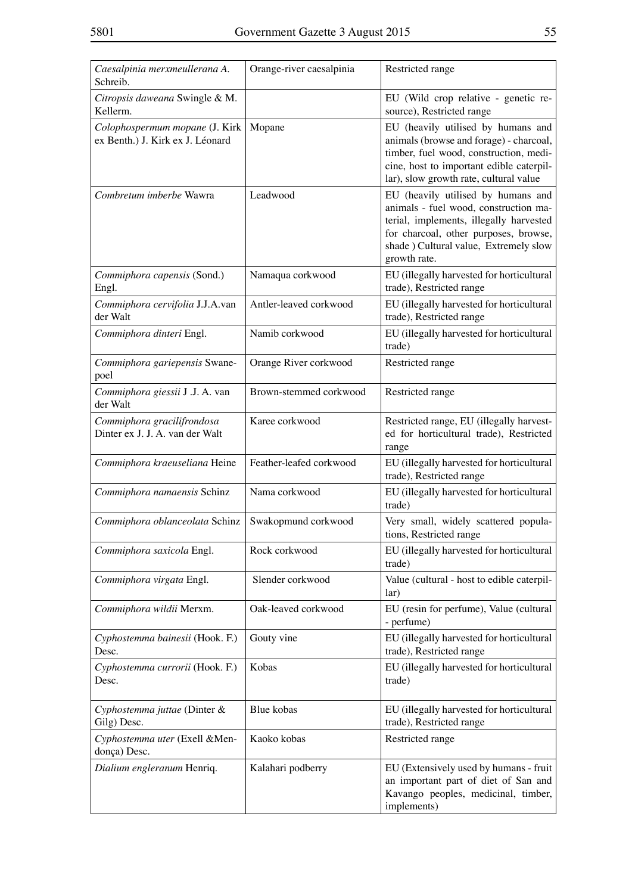| Caesalpinia merxmeullerana A.<br>Schreib.                          | Orange-river caesalpinia | Restricted range                                                                                                                                                                                                          |
|--------------------------------------------------------------------|--------------------------|---------------------------------------------------------------------------------------------------------------------------------------------------------------------------------------------------------------------------|
| Citropsis daweana Swingle & M.<br>Kellerm.                         |                          | EU (Wild crop relative - genetic re-<br>source), Restricted range                                                                                                                                                         |
| Colophospermum mopane (J. Kirk<br>ex Benth.) J. Kirk ex J. Léonard | Mopane                   | EU (heavily utilised by humans and<br>animals (browse and forage) - charcoal,<br>timber, fuel wood, construction, medi-<br>cine, host to important edible caterpil-<br>lar), slow growth rate, cultural value             |
| Combretum imberbe Wawra                                            | Leadwood                 | EU (heavily utilised by humans and<br>animals - fuel wood, construction ma-<br>terial, implements, illegally harvested<br>for charcoal, other purposes, browse,<br>shade ) Cultural value, Extremely slow<br>growth rate. |
| Commiphora capensis (Sond.)<br>Engl.                               | Namaqua corkwood         | EU (illegally harvested for horticultural<br>trade), Restricted range                                                                                                                                                     |
| Commiphora cervifolia J.J.A.van<br>der Walt                        | Antler-leaved corkwood   | EU (illegally harvested for horticultural<br>trade), Restricted range                                                                                                                                                     |
| Commiphora dinteri Engl.                                           | Namib corkwood           | EU (illegally harvested for horticultural<br>trade)                                                                                                                                                                       |
| Commiphora gariepensis Swane-<br>poel                              | Orange River corkwood    | Restricted range                                                                                                                                                                                                          |
| Commiphora giessii J .J. A. van<br>der Walt                        | Brown-stemmed corkwood   | Restricted range                                                                                                                                                                                                          |
| Commiphora gracilifrondosa<br>Dinter ex J. J. A. van der Walt      | Karee corkwood           | Restricted range, EU (illegally harvest-<br>ed for horticultural trade), Restricted<br>range                                                                                                                              |
| Commiphora kraeuseliana Heine                                      | Feather-leafed corkwood  | EU (illegally harvested for horticultural<br>trade), Restricted range                                                                                                                                                     |
| Commiphora namaensis Schinz                                        | Nama corkwood            | EU (illegally harvested for horticultural<br>trade)                                                                                                                                                                       |
| Commiphora oblanceolata Schinz                                     | Swakopmund corkwood      | Very small, widely scattered popula-<br>tions, Restricted range                                                                                                                                                           |
| Commiphora saxicola Engl.                                          | Rock corkwood            | EU (illegally harvested for horticultural<br>trade)                                                                                                                                                                       |
| Commiphora virgata Engl.                                           | Slender corkwood         | Value (cultural - host to edible caterpil-<br>lar)                                                                                                                                                                        |
| Commiphora wildii Merxm.                                           | Oak-leaved corkwood      | EU (resin for perfume), Value (cultural<br>- perfume)                                                                                                                                                                     |
| Cyphostemma bainesii (Hook. F.)<br>Desc.                           | Gouty vine               | EU (illegally harvested for horticultural<br>trade), Restricted range                                                                                                                                                     |
| Cyphostemma currorii (Hook. F.)<br>Desc.                           | Kobas                    | EU (illegally harvested for horticultural<br>trade)                                                                                                                                                                       |
| Cyphostemma juttae (Dinter &<br>Gilg) Desc.                        | Blue kobas               | EU (illegally harvested for horticultural<br>trade), Restricted range                                                                                                                                                     |
| Cyphostemma uter (Exell & Men-<br>donça) Desc.                     | Kaoko kobas              | Restricted range                                                                                                                                                                                                          |
| Dialium engleranum Henriq.                                         | Kalahari podberry        | EU (Extensively used by humans - fruit<br>an important part of diet of San and<br>Kavango peoples, medicinal, timber,<br>implements)                                                                                      |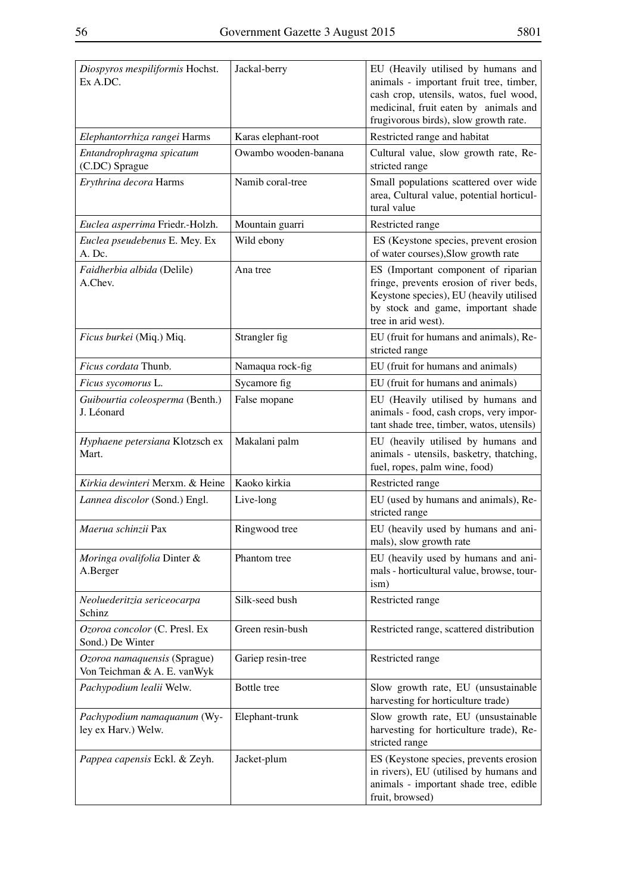| Diospyros mespiliformis Hochst.<br>Ex A.DC.                 | Jackal-berry         | EU (Heavily utilised by humans and<br>animals - important fruit tree, timber,<br>cash crop, utensils, watos, fuel wood,<br>medicinal, fruit eaten by animals and<br>frugivorous birds), slow growth rate. |
|-------------------------------------------------------------|----------------------|-----------------------------------------------------------------------------------------------------------------------------------------------------------------------------------------------------------|
| Elephantorrhiza rangei Harms                                | Karas elephant-root  | Restricted range and habitat                                                                                                                                                                              |
| Entandrophragma spicatum<br>(C.DC) Sprague                  | Owambo wooden-banana | Cultural value, slow growth rate, Re-<br>stricted range                                                                                                                                                   |
| Erythrina decora Harms                                      | Namib coral-tree     | Small populations scattered over wide<br>area, Cultural value, potential horticul-<br>tural value                                                                                                         |
| Euclea asperrima Friedr.-Holzh.                             | Mountain guarri      | Restricted range                                                                                                                                                                                          |
| Euclea pseudebenus E. Mey. Ex<br>A. Dc.                     | Wild ebony           | ES (Keystone species, prevent erosion<br>of water courses), Slow growth rate                                                                                                                              |
| Faidherbia albida (Delile)<br>A.Chev.                       | Ana tree             | ES (Important component of riparian<br>fringe, prevents erosion of river beds,<br>Keystone species), EU (heavily utilised<br>by stock and game, important shade<br>tree in arid west).                    |
| Ficus burkei (Miq.) Miq.                                    | Strangler fig        | EU (fruit for humans and animals), Re-<br>stricted range                                                                                                                                                  |
| Ficus cordata Thunb.                                        | Namaqua rock-fig     | EU (fruit for humans and animals)                                                                                                                                                                         |
| Ficus sycomorus L.                                          | Sycamore fig         | EU (fruit for humans and animals)                                                                                                                                                                         |
| Guibourtia coleosperma (Benth.)<br>J. Léonard               | False mopane         | EU (Heavily utilised by humans and<br>animals - food, cash crops, very impor-<br>tant shade tree, timber, watos, utensils)                                                                                |
| Hyphaene petersiana Klotzsch ex<br>Mart.                    | Makalani palm        | EU (heavily utilised by humans and<br>animals - utensils, basketry, thatching,<br>fuel, ropes, palm wine, food)                                                                                           |
| Kirkia dewinteri Merxm. & Heine                             | Kaoko kirkia         | Restricted range                                                                                                                                                                                          |
| Lannea discolor (Sond.) Engl.                               | Live-long            | EU (used by humans and animals), Re-<br>stricted range                                                                                                                                                    |
| Maerua schinzii Pax                                         | Ringwood tree        | EU (heavily used by humans and ani-<br>mals), slow growth rate                                                                                                                                            |
| Moringa ovalifolia Dinter &<br>A.Berger                     | Phantom tree         | EU (heavily used by humans and ani-<br>mals - horticultural value, browse, tour-<br>ism)                                                                                                                  |
| Neoluederitzia sericeocarpa<br>Schinz                       | Silk-seed bush       | Restricted range                                                                                                                                                                                          |
| Ozoroa concolor (C. Presl. Ex<br>Sond.) De Winter           | Green resin-bush     | Restricted range, scattered distribution                                                                                                                                                                  |
| Ozoroa namaquensis (Sprague)<br>Von Teichman & A. E. vanWyk | Gariep resin-tree    | Restricted range                                                                                                                                                                                          |
| Pachypodium lealii Welw.                                    | Bottle tree          | Slow growth rate, EU (unsustainable<br>harvesting for horticulture trade)                                                                                                                                 |
| Pachypodium namaquanum (Wy-<br>ley ex Harv.) Welw.          | Elephant-trunk       | Slow growth rate, EU (unsustainable<br>harvesting for horticulture trade), Re-<br>stricted range                                                                                                          |
| Pappea capensis Eckl. & Zeyh.                               | Jacket-plum          | ES (Keystone species, prevents erosion<br>in rivers), EU (utilised by humans and<br>animals - important shade tree, edible<br>fruit, browsed)                                                             |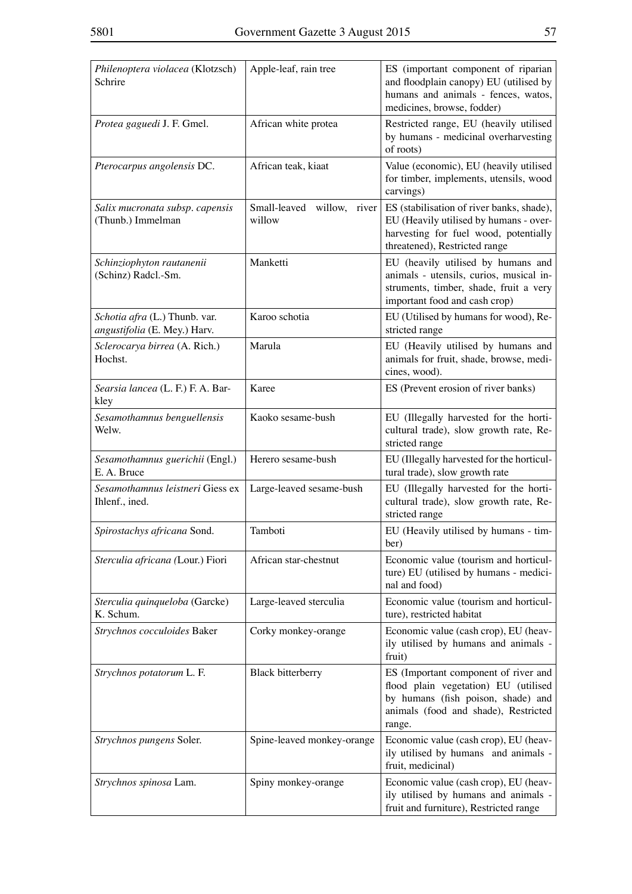| Philenoptera violacea (Klotzsch)<br>Schrire                   | Apple-leaf, rain tree                | ES (important component of riparian<br>and floodplain canopy) EU (utilised by<br>humans and animals - fences, watos,<br>medicines, browse, fodder)                   |
|---------------------------------------------------------------|--------------------------------------|----------------------------------------------------------------------------------------------------------------------------------------------------------------------|
| Protea gaguedi J. F. Gmel.                                    | African white protea                 | Restricted range, EU (heavily utilised<br>by humans - medicinal overharvesting<br>of roots)                                                                          |
| Pterocarpus angolensis DC.                                    | African teak, kiaat                  | Value (economic), EU (heavily utilised<br>for timber, implements, utensils, wood<br>carvings)                                                                        |
| Salix mucronata subsp. capensis<br>(Thunb.) Immelman          | Small-leaved willow, river<br>willow | ES (stabilisation of river banks, shade),<br>EU (Heavily utilised by humans - over-<br>harvesting for fuel wood, potentially<br>threatened), Restricted range        |
| Schinziophyton rautanenii<br>(Schinz) Radcl.-Sm.              | Manketti                             | EU (heavily utilised by humans and<br>animals - utensils, curios, musical in-<br>struments, timber, shade, fruit a very<br>important food and cash crop)             |
| Schotia afra (L.) Thunb. var.<br>angustifolia (E. Mey.) Harv. | Karoo schotia                        | EU (Utilised by humans for wood), Re-<br>stricted range                                                                                                              |
| Sclerocarya birrea (A. Rich.)<br>Hochst.                      | Marula                               | EU (Heavily utilised by humans and<br>animals for fruit, shade, browse, medi-<br>cines, wood).                                                                       |
| Searsia lancea (L. F.) F. A. Bar-<br>kley                     | Karee                                | ES (Prevent erosion of river banks)                                                                                                                                  |
| Sesamothamnus benguellensis<br>Welw.                          | Kaoko sesame-bush                    | EU (Illegally harvested for the horti-<br>cultural trade), slow growth rate, Re-<br>stricted range                                                                   |
| Sesamothamnus guerichii (Engl.)<br>E. A. Bruce                | Herero sesame-bush                   | EU (Illegally harvested for the horticul-<br>tural trade), slow growth rate                                                                                          |
| Sesamothamnus leistneri Giess ex<br>Ihlenf., ined.            | Large-leaved sesame-bush             | EU (Illegally harvested for the horti-<br>cultural trade), slow growth rate, Re-<br>stricted range                                                                   |
| Spirostachys africana Sond.                                   | Tamboti                              | EU (Heavily utilised by humans - tim-<br>ber)                                                                                                                        |
| Sterculia africana (Lour.) Fiori                              | African star-chestnut                | Economic value (tourism and horticul-<br>ture) EU (utilised by humans - medici-<br>nal and food)                                                                     |
| Sterculia quinqueloba (Garcke)<br>K. Schum.                   | Large-leaved sterculia               | Economic value (tourism and horticul-<br>ture), restricted habitat                                                                                                   |
| Strychnos cocculoides Baker                                   | Corky monkey-orange                  | Economic value (cash crop), EU (heav-<br>ily utilised by humans and animals -<br>fruit)                                                                              |
| Strychnos potatorum L. F.                                     | <b>Black bitterberry</b>             | ES (Important component of river and<br>flood plain vegetation) EU (utilised<br>by humans (fish poison, shade) and<br>animals (food and shade), Restricted<br>range. |
| Strychnos pungens Soler.                                      | Spine-leaved monkey-orange           | Economic value (cash crop), EU (heav-<br>ily utilised by humans and animals -<br>fruit, medicinal)                                                                   |
| Strychnos spinosa Lam.                                        | Spiny monkey-orange                  | Economic value (cash crop), EU (heav-<br>ily utilised by humans and animals -<br>fruit and furniture), Restricted range                                              |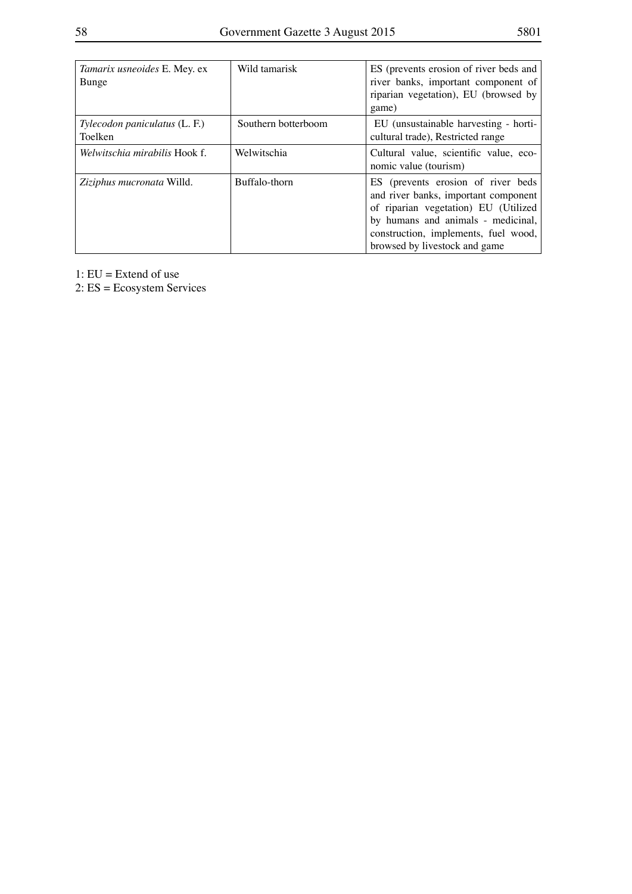| Tamarix usneoides E. Mey. ex<br>Bunge    | Wild tamarisk       | ES (prevents erosion of river beds and<br>river banks, important component of<br>riparian vegetation), EU (browsed by<br>game)                                                                                                    |
|------------------------------------------|---------------------|-----------------------------------------------------------------------------------------------------------------------------------------------------------------------------------------------------------------------------------|
| Tylecodon paniculatus (L. F.)<br>Toelken | Southern botterboom | EU (unsustainable harvesting - horti-<br>cultural trade), Restricted range                                                                                                                                                        |
| Welwitschia mirabilis Hook f.            | Welwitschia         | Cultural value, scientific value, eco-<br>nomic value (tourism)                                                                                                                                                                   |
| Ziziphus mucronata Willd.                | Buffalo-thorn       | ES (prevents erosion of river beds<br>and river banks, important component<br>of riparian vegetation) EU (Utilized<br>by humans and animals - medicinal,<br>construction, implements, fuel wood,<br>browsed by livestock and game |

1: EU = Extend of use

2: ES = Ecosystem Services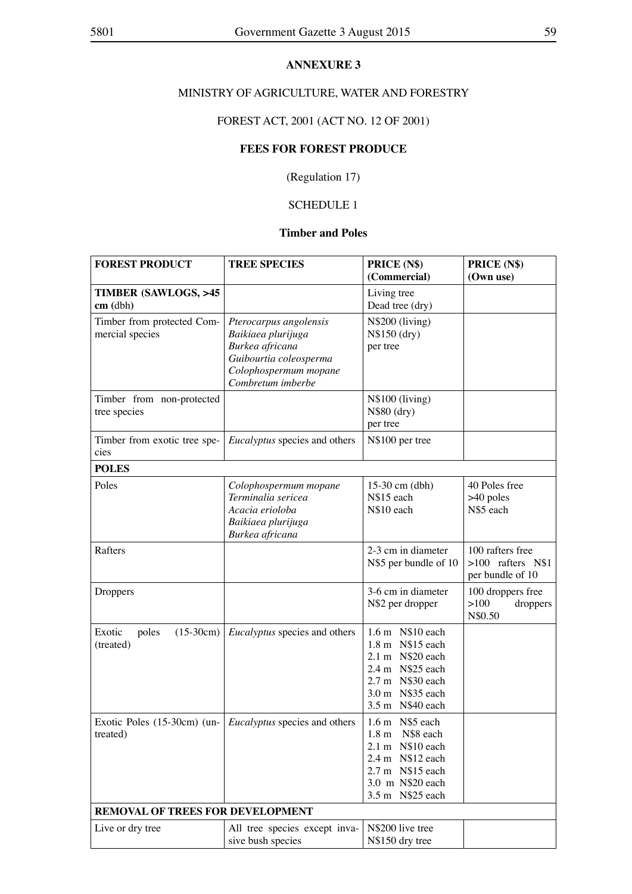### **ANNEXURE 3**

### MINISTRY OF AGRICULTURE, WATER AND FORESTRY

### FOREST ACT, 2001 (ACT NO. 12 OF 2001)

### **FEES FOR FOREST PRODUCE**

(Regulation 17)

### SCHEDULE 1

### **Timber and Poles**

| <b>FOREST PRODUCT</b>                         | <b>TREE SPECIES</b>                                                                                                                     | PRICE (N\$)<br>(Commercial)                                                                                                              | PRICE (N\$)<br>(Own use)                                    |
|-----------------------------------------------|-----------------------------------------------------------------------------------------------------------------------------------------|------------------------------------------------------------------------------------------------------------------------------------------|-------------------------------------------------------------|
| <b>TIMBER (SAWLOGS, &gt;45)</b><br>$cm$ (dbh) |                                                                                                                                         | Living tree<br>Dead tree (dry)                                                                                                           |                                                             |
| Timber from protected Com-<br>mercial species | Pterocarpus angolensis<br>Baikiaea plurijuga<br>Burkea africana<br>Guibourtia coleosperma<br>Colophospermum mopane<br>Combretum imberbe | N\$200 (living)<br>N\$150 (dry)<br>per tree                                                                                              |                                                             |
| Timber from non-protected<br>tree species     |                                                                                                                                         | N\$100 (living)<br>N\$80 (dry)<br>per tree                                                                                               |                                                             |
| Timber from exotic tree spe-<br>cies          | Eucalyptus species and others                                                                                                           | N\$100 per tree                                                                                                                          |                                                             |
| <b>POLES</b>                                  |                                                                                                                                         |                                                                                                                                          |                                                             |
| Poles                                         | Colophospermum mopane<br>Terminalia sericea<br>Acacia erioloba<br>Baikiaea plurijuga<br>Burkea africana                                 | 15-30 cm (dbh)<br>N\$15 each<br>N\$10 each                                                                                               | 40 Poles free<br>$>40$ poles<br>N\$5 each                   |
| Rafters                                       |                                                                                                                                         | 2-3 cm in diameter<br>N\$5 per bundle of 10                                                                                              | 100 rafters free<br>$>100$ rafters N\$1<br>per bundle of 10 |
| Droppers                                      |                                                                                                                                         | 3-6 cm in diameter<br>N\$2 per dropper                                                                                                   | 100 droppers free<br>>100<br>droppers<br>N\$0.50            |
| Exotic<br>$(15-30cm)$<br>poles<br>(treated)   | <i>Eucalyptus</i> species and others                                                                                                    | 1.6 m N\$10 each<br>1.8 m N\$15 each<br>2.1 m N\$20 each<br>2.4 m N\$25 each<br>2.7 m N\$30 each<br>3.0 m N\$35 each<br>3.5 m N\$40 each |                                                             |
| Exotic Poles $(15-30cm)$ (un-<br>treated)     | Eucalyptus species and others                                                                                                           | 1.6 m N\$5 each<br>1.8 m N\$8 each<br>2.1 m N\$10 each<br>2.4 m N\$12 each<br>2.7 m N\$15 each<br>3.0 m N\$20 each<br>3.5 m N\$25 each   |                                                             |
| <b>REMOVAL OF TREES FOR DEVELOPMENT</b>       |                                                                                                                                         |                                                                                                                                          |                                                             |
| Live or dry tree                              | All tree species except inva-<br>sive bush species                                                                                      | N\$200 live tree<br>N\$150 dry tree                                                                                                      |                                                             |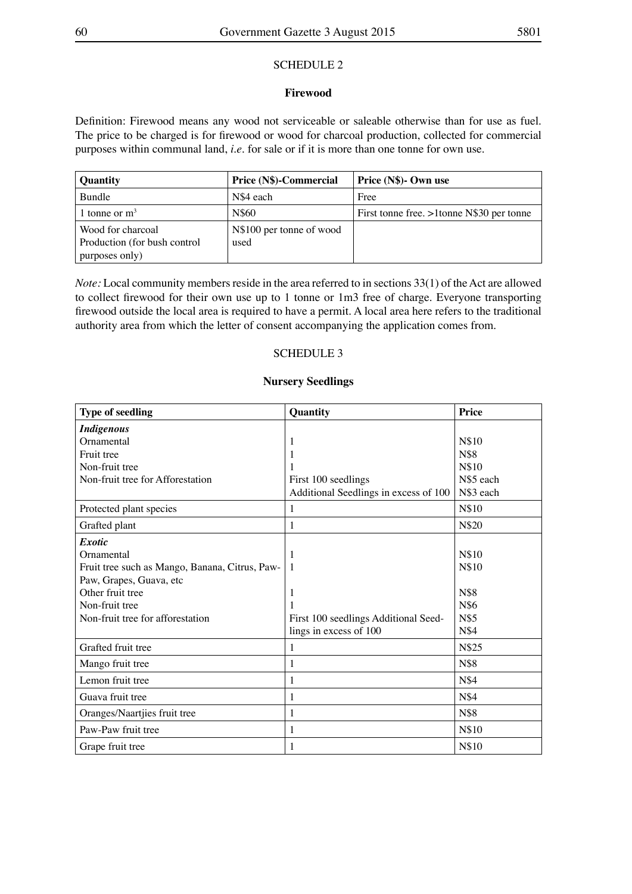### SCHEDULE 2

### **Firewood**

Definition: Firewood means any wood not serviceable or saleable otherwise than for use as fuel. The price to be charged is for firewood or wood for charcoal production, collected for commercial purposes within communal land, *i.e.* for sale or if it is more than one tonne for own use.

| <b>Quantity</b>                                   | Price (N\$)-Commercial           | Price (N\$)- Own use                      |
|---------------------------------------------------|----------------------------------|-------------------------------------------|
| <b>Bundle</b>                                     | N\$4 each                        | Free                                      |
| 1 tonne or $m3$                                   | N\$60                            | First tonne free. >1tonne N\$30 per tonne |
| Wood for charcoal<br>Production (for bush control | N\$100 per tonne of wood<br>used |                                           |
| purposes only)                                    |                                  |                                           |

*Note:* Local community members reside in the area referred to in sections 33(1) of the Act are allowed to collect firewood for their own use up to 1 tonne or 1m3 free of charge. Everyone transporting firewood outside the local area is required to have a permit. A local area here refers to the traditional authority area from which the letter of consent accompanying the application comes from.

### SCHEDULE 3

### **Nursery Seedlings**

| <b>Type of seedling</b>                        | Quantity                              | <b>Price</b> |
|------------------------------------------------|---------------------------------------|--------------|
| <b>Indigenous</b>                              |                                       |              |
| Ornamental                                     | 1                                     | N\$10        |
| Fruit tree                                     | 1                                     | N\$8         |
| Non-fruit tree                                 |                                       | N\$10        |
| Non-fruit tree for Afforestation               | First 100 seedlings                   | N\$5 each    |
|                                                | Additional Seedlings in excess of 100 | N\$3 each    |
| Protected plant species                        | 1                                     | N\$10        |
| Grafted plant                                  | 1                                     | N\$20        |
| <i>Exotic</i>                                  |                                       |              |
| Ornamental                                     | 1                                     | N\$10        |
| Fruit tree such as Mango, Banana, Citrus, Paw- | -1                                    | N\$10        |
| Paw, Grapes, Guava, etc                        |                                       |              |
| Other fruit tree                               | 1                                     | N\$8         |
| Non-fruit tree                                 |                                       | N\$6         |
| Non-fruit tree for afforestation               | First 100 seedlings Additional Seed-  | N\$5         |
|                                                | lings in excess of 100                | N\$4         |
| Grafted fruit tree                             | 1                                     | N\$25        |
| Mango fruit tree                               | 1                                     | N\$8         |
| Lemon fruit tree                               | 1                                     | N\$4         |
| Guava fruit tree                               | 1                                     | N\$4         |
| Oranges/Naartjies fruit tree                   | 1                                     | N\$8         |
| Paw-Paw fruit tree                             | 1                                     | N\$10        |
| Grape fruit tree                               | 1                                     | N\$10        |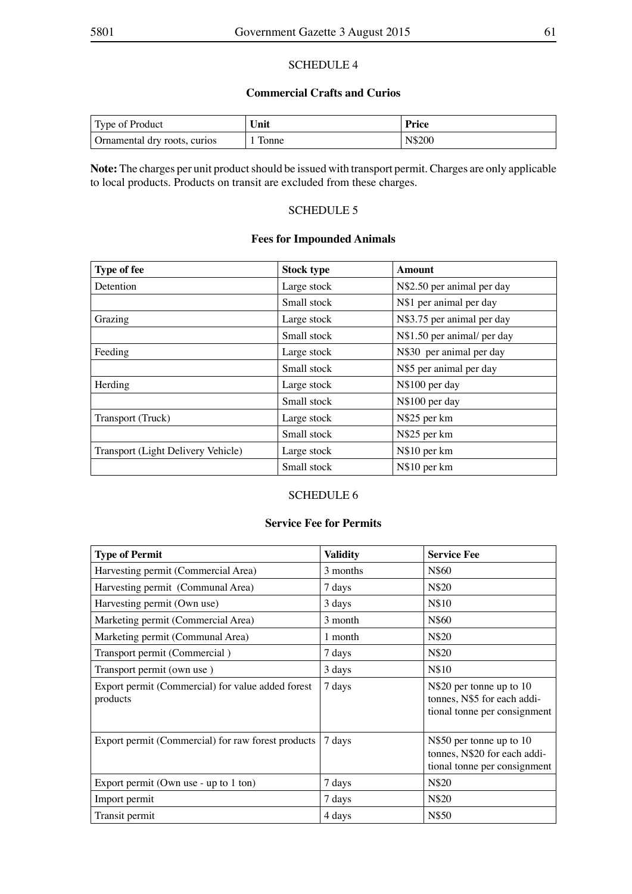### SCHEDULE 4

### **Commercial Crafts and Curios**

| Type of Product              | Unit  | <b>Price</b> |
|------------------------------|-------|--------------|
| Ornamental dry roots, curios | Tonne | N\$200       |

Note: The charges per unit product should be issued with transport permit. Charges are only applicable to local products. Products on transit are excluded from these charges.

### SCHEDULE 5

### **Fees for Impounded Animals**

| <b>Type of fee</b>                 | <b>Stock type</b> | Amount                      |
|------------------------------------|-------------------|-----------------------------|
| Detention                          | Large stock       | N\$2.50 per animal per day  |
|                                    | Small stock       | N\$1 per animal per day     |
| Grazing                            | Large stock       | N\$3.75 per animal per day  |
|                                    | Small stock       | N\$1.50 per animal/ per day |
| Feeding                            | Large stock       | N\$30 per animal per day    |
|                                    | Small stock       | N\$5 per animal per day     |
| Herding                            | Large stock       | N\$100 per day              |
|                                    | Small stock       | N\$100 per day              |
| Transport (Truck)                  | Large stock       | N\$25 per km                |
|                                    | Small stock       | N\$25 per km                |
| Transport (Light Delivery Vehicle) | Large stock       | N\$10 per km                |
|                                    | Small stock       | N\$10 per km                |

### SCHEDULE 6

### **Service Fee for Permits**

| <b>Type of Permit</b>                                         | <b>Validity</b> | <b>Service Fee</b>                                                                       |
|---------------------------------------------------------------|-----------------|------------------------------------------------------------------------------------------|
| Harvesting permit (Commercial Area)                           | 3 months        | N\$60                                                                                    |
| Harvesting permit (Communal Area)                             | 7 days          | N\$20                                                                                    |
| Harvesting permit (Own use)                                   | 3 days          | N\$10                                                                                    |
| Marketing permit (Commercial Area)                            | 3 month         | N\$60                                                                                    |
| Marketing permit (Communal Area)                              | 1 month         | N\$20                                                                                    |
| Transport permit (Commercial)                                 | 7 days          | N\$20                                                                                    |
| Transport permit (own use)                                    | 3 days          | N\$10                                                                                    |
| Export permit (Commercial) for value added forest<br>products | 7 days          | N\$20 per tonne up to 10<br>tonnes, N\$5 for each addi-<br>tional tonne per consignment  |
| Export permit (Commercial) for raw forest products            | 7 days          | N\$50 per tonne up to 10<br>tonnes, N\$20 for each addi-<br>tional tonne per consignment |
| Export permit (Own use - up to 1 ton)                         | 7 days          | N\$20                                                                                    |
| Import permit                                                 | 7 days          | N\$20                                                                                    |
| Transit permit                                                | 4 days          | N\$50                                                                                    |